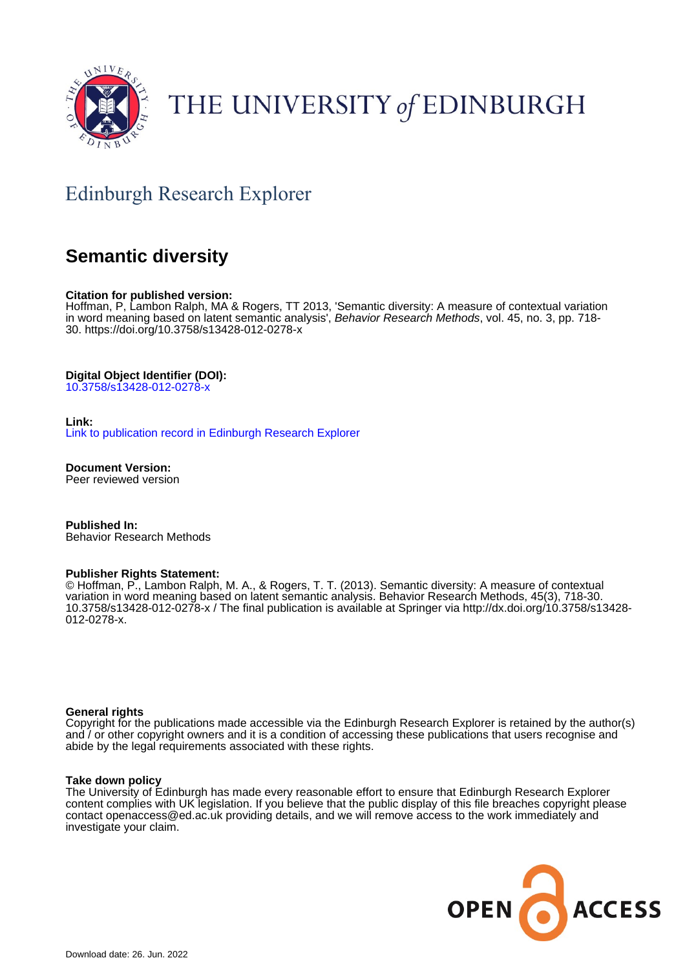

# THE UNIVERSITY of EDINBURGH

## Edinburgh Research Explorer

## **Semantic diversity**

#### **Citation for published version:**

Hoffman, P, Lambon Ralph, MA & Rogers, TT 2013, 'Semantic diversity: A measure of contextual variation in word meaning based on latent semantic analysis', Behavior Research Methods, vol. 45, no. 3, pp. 718-30. <https://doi.org/10.3758/s13428-012-0278-x>

#### **Digital Object Identifier (DOI):**

[10.3758/s13428-012-0278-x](https://doi.org/10.3758/s13428-012-0278-x)

#### **Link:**

[Link to publication record in Edinburgh Research Explorer](https://www.research.ed.ac.uk/en/publications/cd3e35dc-ea28-4faf-82c4-122b7851282a)

**Document Version:** Peer reviewed version

**Published In:** Behavior Research Methods

#### **Publisher Rights Statement:**

© Hoffman, P., Lambon Ralph, M. A., & Rogers, T. T. (2013). Semantic diversity: A measure of contextual variation in word meaning based on latent semantic analysis. Behavior Research Methods, 45(3), 718-30. 10.3758/s13428-012-0278-x / The final publication is available at Springer via http://dx.doi.org/10.3758/s13428- 012-0278-x.

#### **General rights**

Copyright for the publications made accessible via the Edinburgh Research Explorer is retained by the author(s) and / or other copyright owners and it is a condition of accessing these publications that users recognise and abide by the legal requirements associated with these rights.

#### **Take down policy**

The University of Edinburgh has made every reasonable effort to ensure that Edinburgh Research Explorer content complies with UK legislation. If you believe that the public display of this file breaches copyright please contact openaccess@ed.ac.uk providing details, and we will remove access to the work immediately and investigate your claim.

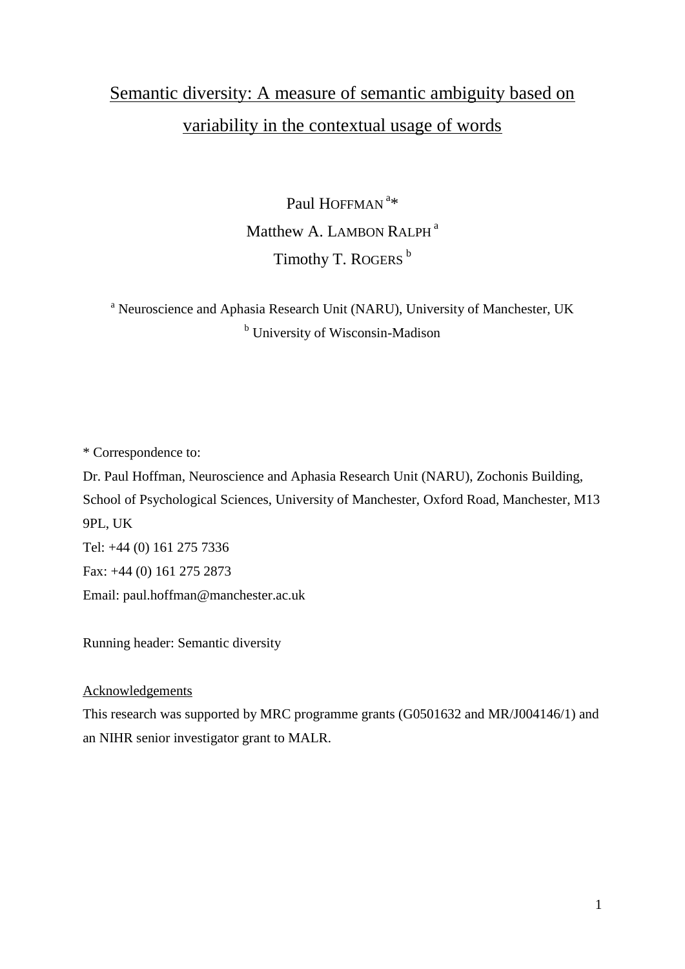## Semantic diversity: A measure of semantic ambiguity based on variability in the contextual usage of words

Paul HOFFMAN<sup>a\*</sup> Matthew A. LAMBON RALPH<sup>a</sup> Timothy T. ROGERS<sup>b</sup>

<sup>a</sup> Neuroscience and Aphasia Research Unit (NARU), University of Manchester, UK <sup>b</sup> University of Wisconsin-Madison

\* Correspondence to:

Dr. Paul Hoffman, Neuroscience and Aphasia Research Unit (NARU), Zochonis Building, School of Psychological Sciences, University of Manchester, Oxford Road, Manchester, M13 9PL, UK Tel: +44 (0) 161 275 7336 Fax: +44 (0) 161 275 2873 Email: paul.hoffman@manchester.ac.uk

Running header: Semantic diversity

### Acknowledgements

This research was supported by MRC programme grants (G0501632 and MR/J004146/1) and an NIHR senior investigator grant to MALR.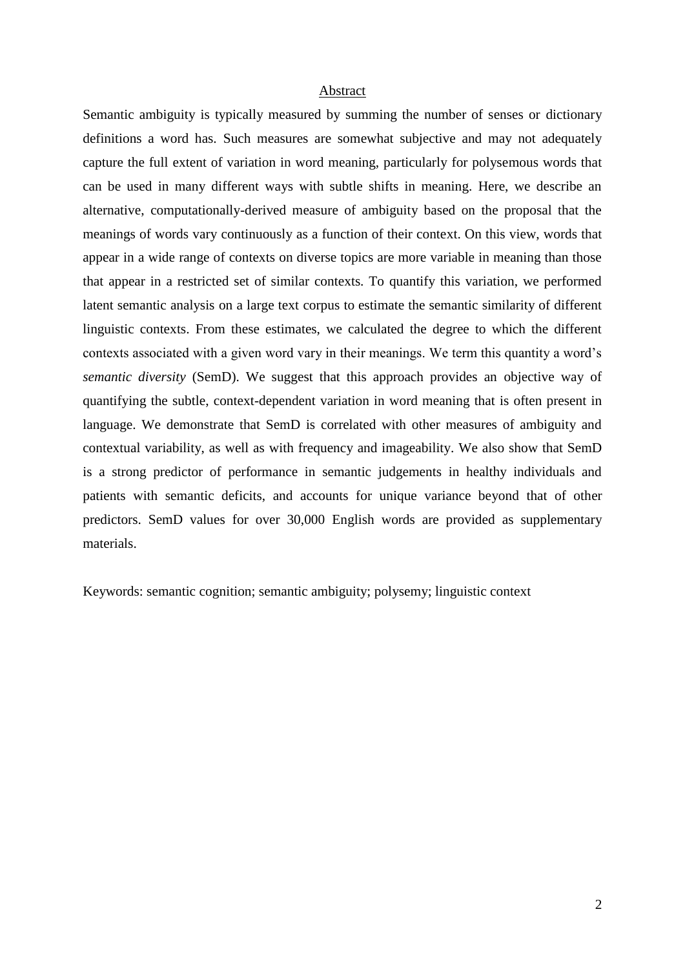#### Abstract

Semantic ambiguity is typically measured by summing the number of senses or dictionary definitions a word has. Such measures are somewhat subjective and may not adequately capture the full extent of variation in word meaning, particularly for polysemous words that can be used in many different ways with subtle shifts in meaning. Here, we describe an alternative, computationally-derived measure of ambiguity based on the proposal that the meanings of words vary continuously as a function of their context. On this view, words that appear in a wide range of contexts on diverse topics are more variable in meaning than those that appear in a restricted set of similar contexts. To quantify this variation, we performed latent semantic analysis on a large text corpus to estimate the semantic similarity of different linguistic contexts. From these estimates, we calculated the degree to which the different contexts associated with a given word vary in their meanings. We term this quantity a word's *semantic diversity* (SemD). We suggest that this approach provides an objective way of quantifying the subtle, context-dependent variation in word meaning that is often present in language. We demonstrate that SemD is correlated with other measures of ambiguity and contextual variability, as well as with frequency and imageability. We also show that SemD is a strong predictor of performance in semantic judgements in healthy individuals and patients with semantic deficits, and accounts for unique variance beyond that of other predictors. SemD values for over 30,000 English words are provided as supplementary materials.

Keywords: semantic cognition; semantic ambiguity; polysemy; linguistic context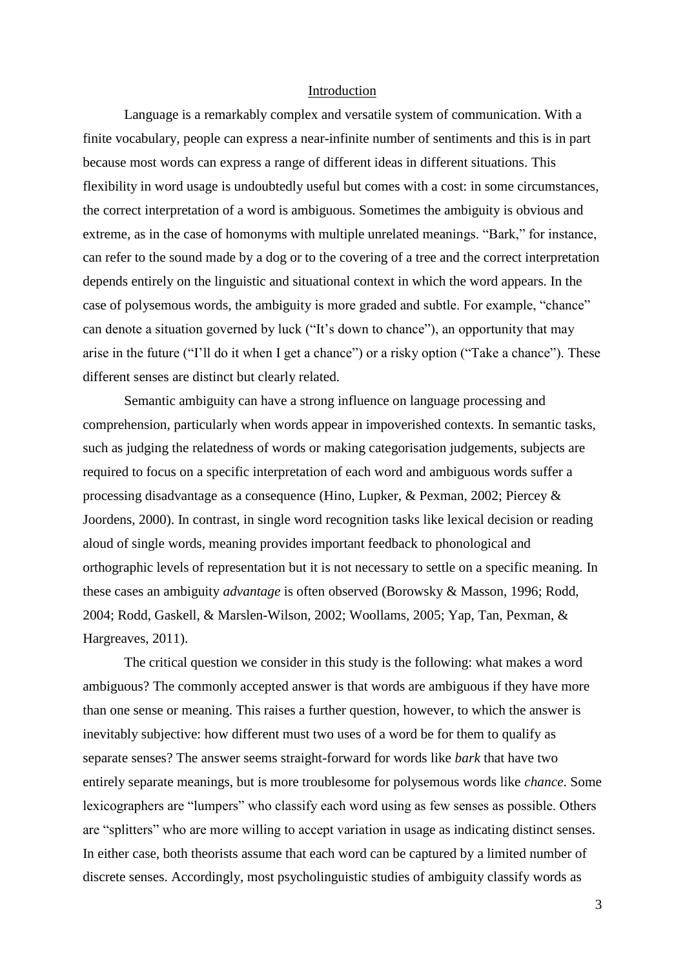#### Introduction

Language is a remarkably complex and versatile system of communication. With a finite vocabulary, people can express a near-infinite number of sentiments and this is in part because most words can express a range of different ideas in different situations. This flexibility in word usage is undoubtedly useful but comes with a cost: in some circumstances, the correct interpretation of a word is ambiguous. Sometimes the ambiguity is obvious and extreme, as in the case of homonyms with multiple unrelated meanings. "Bark," for instance, can refer to the sound made by a dog or to the covering of a tree and the correct interpretation depends entirely on the linguistic and situational context in which the word appears. In the case of polysemous words, the ambiguity is more graded and subtle. For example, "chance" can denote a situation governed by luck ("It's down to chance"), an opportunity that may arise in the future ("I'll do it when I get a chance") or a risky option ("Take a chance"). These different senses are distinct but clearly related.

Semantic ambiguity can have a strong influence on language processing and comprehension, particularly when words appear in impoverished contexts. In semantic tasks, such as judging the relatedness of words or making categorisation judgements, subjects are required to focus on a specific interpretation of each word and ambiguous words suffer a processing disadvantage as a consequence (Hino, Lupker, & Pexman, 2002; Piercey & Joordens, 2000). In contrast, in single word recognition tasks like lexical decision or reading aloud of single words, meaning provides important feedback to phonological and orthographic levels of representation but it is not necessary to settle on a specific meaning. In these cases an ambiguity *advantage* is often observed (Borowsky & Masson, 1996; Rodd, 2004; Rodd, Gaskell, & Marslen-Wilson, 2002; Woollams, 2005; Yap, Tan, Pexman, & Hargreaves, 2011).

The critical question we consider in this study is the following: what makes a word ambiguous? The commonly accepted answer is that words are ambiguous if they have more than one sense or meaning. This raises a further question, however, to which the answer is inevitably subjective: how different must two uses of a word be for them to qualify as separate senses? The answer seems straight-forward for words like *bark* that have two entirely separate meanings, but is more troublesome for polysemous words like *chance*. Some lexicographers are "lumpers" who classify each word using as few senses as possible. Others are "splitters" who are more willing to accept variation in usage as indicating distinct senses. In either case, both theorists assume that each word can be captured by a limited number of discrete senses. Accordingly, most psycholinguistic studies of ambiguity classify words as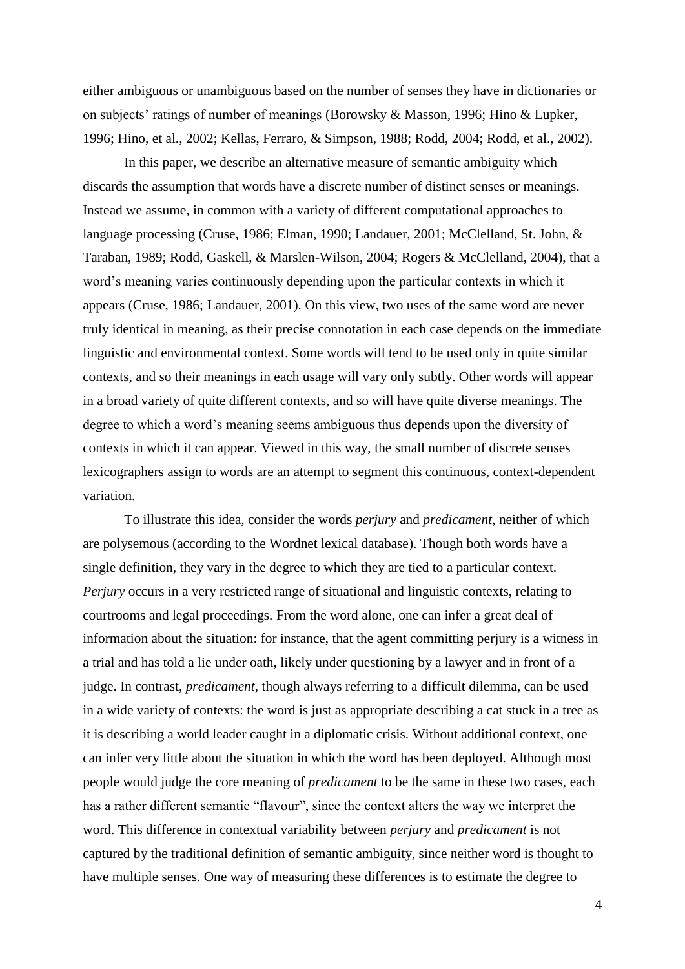either ambiguous or unambiguous based on the number of senses they have in dictionaries or on subjects' ratings of number of meanings (Borowsky & Masson, 1996; Hino & Lupker, 1996; Hino, et al., 2002; Kellas, Ferraro, & Simpson, 1988; Rodd, 2004; Rodd, et al., 2002).

In this paper, we describe an alternative measure of semantic ambiguity which discards the assumption that words have a discrete number of distinct senses or meanings. Instead we assume, in common with a variety of different computational approaches to language processing (Cruse, 1986; Elman, 1990; Landauer, 2001; McClelland, St. John, & Taraban, 1989; Rodd, Gaskell, & Marslen-Wilson, 2004; Rogers & McClelland, 2004), that a word's meaning varies continuously depending upon the particular contexts in which it appears (Cruse, 1986; Landauer, 2001). On this view, two uses of the same word are never truly identical in meaning, as their precise connotation in each case depends on the immediate linguistic and environmental context. Some words will tend to be used only in quite similar contexts, and so their meanings in each usage will vary only subtly. Other words will appear in a broad variety of quite different contexts, and so will have quite diverse meanings. The degree to which a word's meaning seems ambiguous thus depends upon the diversity of contexts in which it can appear. Viewed in this way, the small number of discrete senses lexicographers assign to words are an attempt to segment this continuous, context-dependent variation.

To illustrate this idea, consider the words *perjury* and *predicament*, neither of which are polysemous (according to the Wordnet lexical database). Though both words have a single definition, they vary in the degree to which they are tied to a particular context. *Perjury* occurs in a very restricted range of situational and linguistic contexts, relating to courtrooms and legal proceedings. From the word alone, one can infer a great deal of information about the situation: for instance, that the agent committing perjury is a witness in a trial and has told a lie under oath, likely under questioning by a lawyer and in front of a judge. In contrast, *predicament*, though always referring to a difficult dilemma, can be used in a wide variety of contexts: the word is just as appropriate describing a cat stuck in a tree as it is describing a world leader caught in a diplomatic crisis. Without additional context, one can infer very little about the situation in which the word has been deployed. Although most people would judge the core meaning of *predicament* to be the same in these two cases, each has a rather different semantic "flavour", since the context alters the way we interpret the word. This difference in contextual variability between *perjury* and *predicament* is not captured by the traditional definition of semantic ambiguity, since neither word is thought to have multiple senses. One way of measuring these differences is to estimate the degree to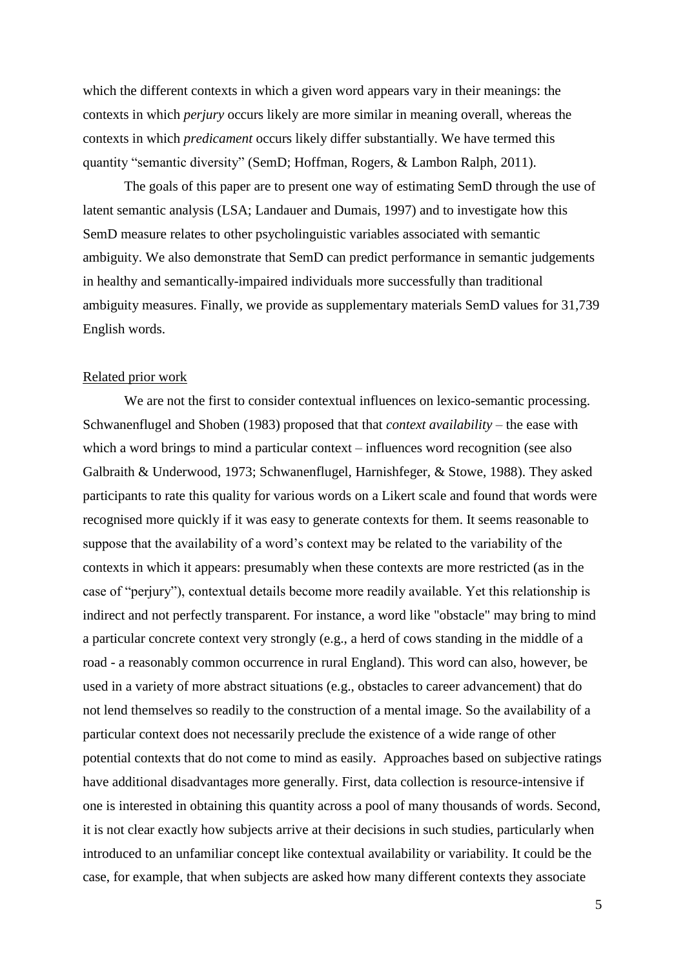which the different contexts in which a given word appears vary in their meanings: the contexts in which *perjury* occurs likely are more similar in meaning overall, whereas the contexts in which *predicament* occurs likely differ substantially. We have termed this quantity "semantic diversity" (SemD; Hoffman, Rogers, & Lambon Ralph, 2011).

The goals of this paper are to present one way of estimating SemD through the use of latent semantic analysis (LSA; Landauer and Dumais, 1997) and to investigate how this SemD measure relates to other psycholinguistic variables associated with semantic ambiguity. We also demonstrate that SemD can predict performance in semantic judgements in healthy and semantically-impaired individuals more successfully than traditional ambiguity measures. Finally, we provide as supplementary materials SemD values for 31,739 English words.

#### Related prior work

We are not the first to consider contextual influences on lexico-semantic processing. Schwanenflugel and Shoben (1983) proposed that that *context availability* – the ease with which a word brings to mind a particular context – influences word recognition (see also Galbraith & Underwood, 1973; Schwanenflugel, Harnishfeger, & Stowe, 1988). They asked participants to rate this quality for various words on a Likert scale and found that words were recognised more quickly if it was easy to generate contexts for them. It seems reasonable to suppose that the availability of a word's context may be related to the variability of the contexts in which it appears: presumably when these contexts are more restricted (as in the case of "perjury"), contextual details become more readily available. Yet this relationship is indirect and not perfectly transparent. For instance, a word like "obstacle" may bring to mind a particular concrete context very strongly (e.g., a herd of cows standing in the middle of a road - a reasonably common occurrence in rural England). This word can also, however, be used in a variety of more abstract situations (e.g., obstacles to career advancement) that do not lend themselves so readily to the construction of a mental image. So the availability of a particular context does not necessarily preclude the existence of a wide range of other potential contexts that do not come to mind as easily. Approaches based on subjective ratings have additional disadvantages more generally. First, data collection is resource-intensive if one is interested in obtaining this quantity across a pool of many thousands of words. Second, it is not clear exactly how subjects arrive at their decisions in such studies, particularly when introduced to an unfamiliar concept like contextual availability or variability. It could be the case, for example, that when subjects are asked how many different contexts they associate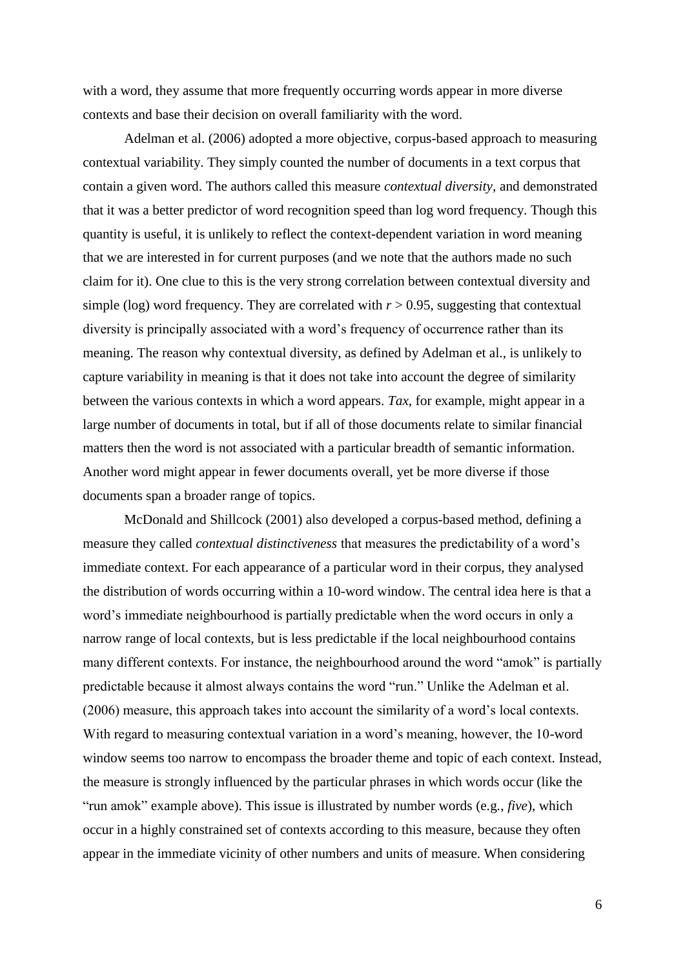with a word, they assume that more frequently occurring words appear in more diverse contexts and base their decision on overall familiarity with the word.

Adelman et al. (2006) adopted a more objective, corpus-based approach to measuring contextual variability. They simply counted the number of documents in a text corpus that contain a given word. The authors called this measure *contextual diversity,* and demonstrated that it was a better predictor of word recognition speed than log word frequency. Though this quantity is useful, it is unlikely to reflect the context-dependent variation in word meaning that we are interested in for current purposes (and we note that the authors made no such claim for it). One clue to this is the very strong correlation between contextual diversity and simple (log) word frequency. They are correlated with  $r > 0.95$ , suggesting that contextual diversity is principally associated with a word's frequency of occurrence rather than its meaning. The reason why contextual diversity, as defined by Adelman et al., is unlikely to capture variability in meaning is that it does not take into account the degree of similarity between the various contexts in which a word appears. *Tax*, for example, might appear in a large number of documents in total, but if all of those documents relate to similar financial matters then the word is not associated with a particular breadth of semantic information. Another word might appear in fewer documents overall, yet be more diverse if those documents span a broader range of topics.

McDonald and Shillcock (2001) also developed a corpus-based method, defining a measure they called *contextual distinctiveness* that measures the predictability of a word's immediate context. For each appearance of a particular word in their corpus, they analysed the distribution of words occurring within a 10-word window. The central idea here is that a word's immediate neighbourhood is partially predictable when the word occurs in only a narrow range of local contexts, but is less predictable if the local neighbourhood contains many different contexts. For instance, the neighbourhood around the word "amok" is partially predictable because it almost always contains the word "run." Unlike the Adelman et al. (2006) measure, this approach takes into account the similarity of a word's local contexts. With regard to measuring contextual variation in a word's meaning, however, the 10-word window seems too narrow to encompass the broader theme and topic of each context. Instead, the measure is strongly influenced by the particular phrases in which words occur (like the "run amok" example above). This issue is illustrated by number words (e.g., *five*), which occur in a highly constrained set of contexts according to this measure, because they often appear in the immediate vicinity of other numbers and units of measure. When considering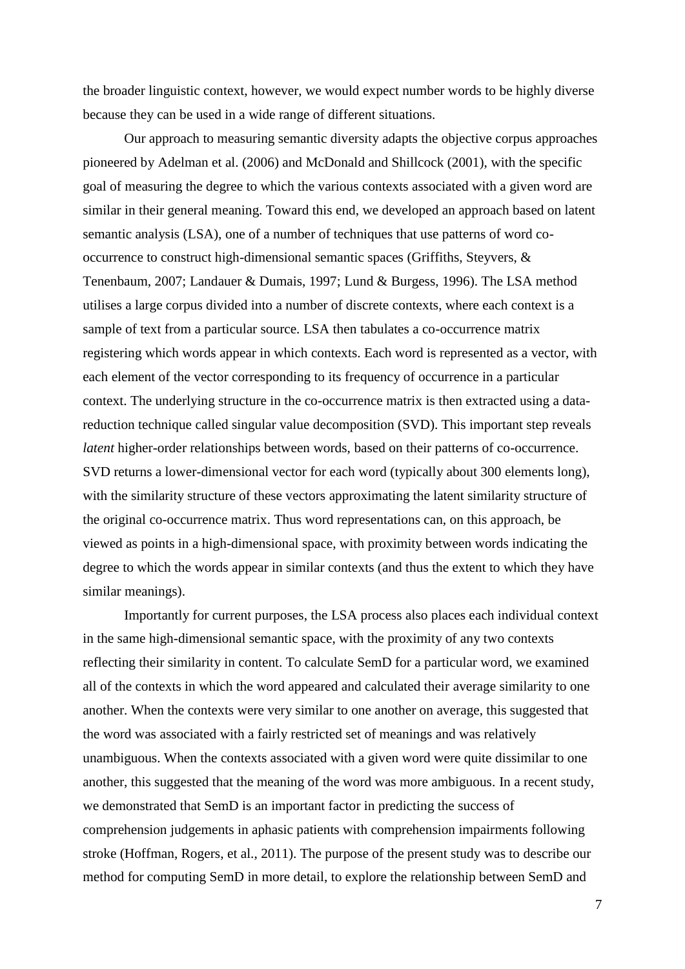the broader linguistic context, however, we would expect number words to be highly diverse because they can be used in a wide range of different situations.

Our approach to measuring semantic diversity adapts the objective corpus approaches pioneered by Adelman et al. (2006) and McDonald and Shillcock (2001), with the specific goal of measuring the degree to which the various contexts associated with a given word are similar in their general meaning. Toward this end, we developed an approach based on latent semantic analysis (LSA), one of a number of techniques that use patterns of word cooccurrence to construct high-dimensional semantic spaces (Griffiths, Steyvers, & Tenenbaum, 2007; Landauer & Dumais, 1997; Lund & Burgess, 1996). The LSA method utilises a large corpus divided into a number of discrete contexts, where each context is a sample of text from a particular source. LSA then tabulates a co-occurrence matrix registering which words appear in which contexts. Each word is represented as a vector, with each element of the vector corresponding to its frequency of occurrence in a particular context. The underlying structure in the co-occurrence matrix is then extracted using a datareduction technique called singular value decomposition (SVD). This important step reveals *latent* higher-order relationships between words, based on their patterns of co-occurrence. SVD returns a lower-dimensional vector for each word (typically about 300 elements long), with the similarity structure of these vectors approximating the latent similarity structure of the original co-occurrence matrix. Thus word representations can, on this approach, be viewed as points in a high-dimensional space, with proximity between words indicating the degree to which the words appear in similar contexts (and thus the extent to which they have similar meanings).

Importantly for current purposes, the LSA process also places each individual context in the same high-dimensional semantic space, with the proximity of any two contexts reflecting their similarity in content. To calculate SemD for a particular word, we examined all of the contexts in which the word appeared and calculated their average similarity to one another. When the contexts were very similar to one another on average, this suggested that the word was associated with a fairly restricted set of meanings and was relatively unambiguous. When the contexts associated with a given word were quite dissimilar to one another, this suggested that the meaning of the word was more ambiguous. In a recent study, we demonstrated that SemD is an important factor in predicting the success of comprehension judgements in aphasic patients with comprehension impairments following stroke (Hoffman, Rogers, et al., 2011). The purpose of the present study was to describe our method for computing SemD in more detail, to explore the relationship between SemD and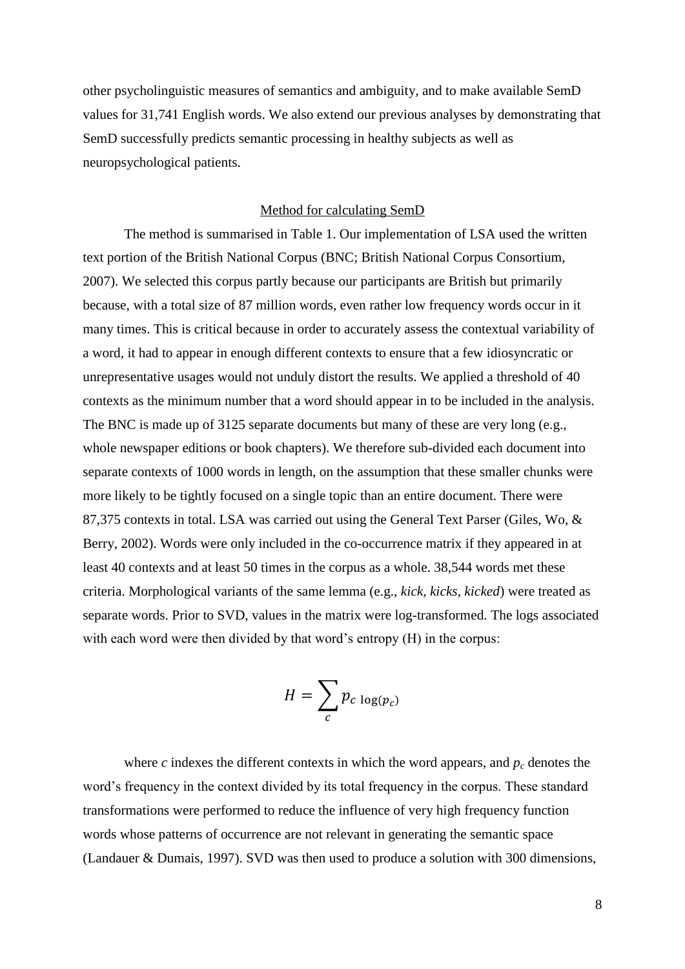other psycholinguistic measures of semantics and ambiguity, and to make available SemD values for 31,741 English words. We also extend our previous analyses by demonstrating that SemD successfully predicts semantic processing in healthy subjects as well as neuropsychological patients.

#### Method for calculating SemD

The method is summarised in Table 1. Our implementation of LSA used the written text portion of the British National Corpus (BNC; British National Corpus Consortium, 2007). We selected this corpus partly because our participants are British but primarily because, with a total size of 87 million words, even rather low frequency words occur in it many times. This is critical because in order to accurately assess the contextual variability of a word, it had to appear in enough different contexts to ensure that a few idiosyncratic or unrepresentative usages would not unduly distort the results. We applied a threshold of 40 contexts as the minimum number that a word should appear in to be included in the analysis. The BNC is made up of 3125 separate documents but many of these are very long (e.g., whole newspaper editions or book chapters). We therefore sub-divided each document into separate contexts of 1000 words in length, on the assumption that these smaller chunks were more likely to be tightly focused on a single topic than an entire document. There were 87,375 contexts in total. LSA was carried out using the General Text Parser (Giles, Wo, & Berry, 2002). Words were only included in the co-occurrence matrix if they appeared in at least 40 contexts and at least 50 times in the corpus as a whole. 38,544 words met these criteria. Morphological variants of the same lemma (e.g., *kick, kicks, kicked*) were treated as separate words. Prior to SVD, values in the matrix were log-transformed. The logs associated with each word were then divided by that word's entropy (H) in the corpus:

$$
H = \sum_{c} p_{c \log(p_c)}
$$

where *c* indexes the different contexts in which the word appears, and  $p_c$  denotes the word's frequency in the context divided by its total frequency in the corpus. These standard transformations were performed to reduce the influence of very high frequency function words whose patterns of occurrence are not relevant in generating the semantic space (Landauer & Dumais, 1997). SVD was then used to produce a solution with 300 dimensions,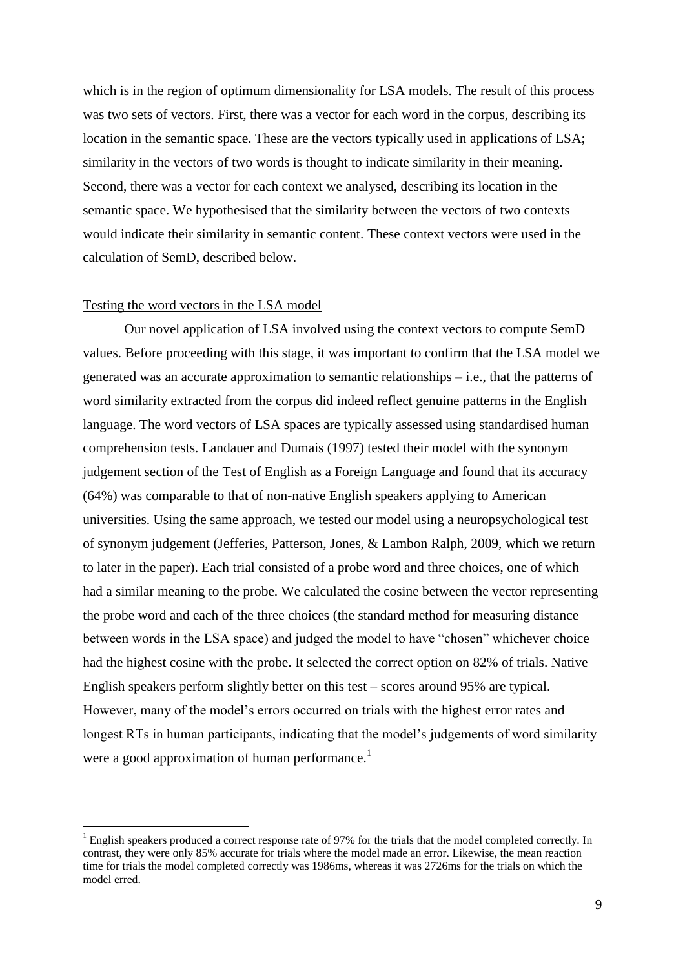which is in the region of optimum dimensionality for LSA models. The result of this process was two sets of vectors. First, there was a vector for each word in the corpus, describing its location in the semantic space. These are the vectors typically used in applications of LSA; similarity in the vectors of two words is thought to indicate similarity in their meaning. Second, there was a vector for each context we analysed, describing its location in the semantic space. We hypothesised that the similarity between the vectors of two contexts would indicate their similarity in semantic content. These context vectors were used in the calculation of SemD, described below.

#### Testing the word vectors in the LSA model

1

Our novel application of LSA involved using the context vectors to compute SemD values. Before proceeding with this stage, it was important to confirm that the LSA model we generated was an accurate approximation to semantic relationships – i.e., that the patterns of word similarity extracted from the corpus did indeed reflect genuine patterns in the English language. The word vectors of LSA spaces are typically assessed using standardised human comprehension tests. Landauer and Dumais (1997) tested their model with the synonym judgement section of the Test of English as a Foreign Language and found that its accuracy (64%) was comparable to that of non-native English speakers applying to American universities. Using the same approach, we tested our model using a neuropsychological test of synonym judgement (Jefferies, Patterson, Jones, & Lambon Ralph, 2009, which we return to later in the paper). Each trial consisted of a probe word and three choices, one of which had a similar meaning to the probe. We calculated the cosine between the vector representing the probe word and each of the three choices (the standard method for measuring distance between words in the LSA space) and judged the model to have "chosen" whichever choice had the highest cosine with the probe. It selected the correct option on 82% of trials. Native English speakers perform slightly better on this test – scores around 95% are typical. However, many of the model's errors occurred on trials with the highest error rates and longest RTs in human participants, indicating that the model's judgements of word similarity were a good approximation of human performance.<sup>1</sup>

 $<sup>1</sup>$  English speakers produced a correct response rate of 97% for the trials that the model completed correctly. In</sup> contrast, they were only 85% accurate for trials where the model made an error. Likewise, the mean reaction time for trials the model completed correctly was 1986ms, whereas it was 2726ms for the trials on which the model erred.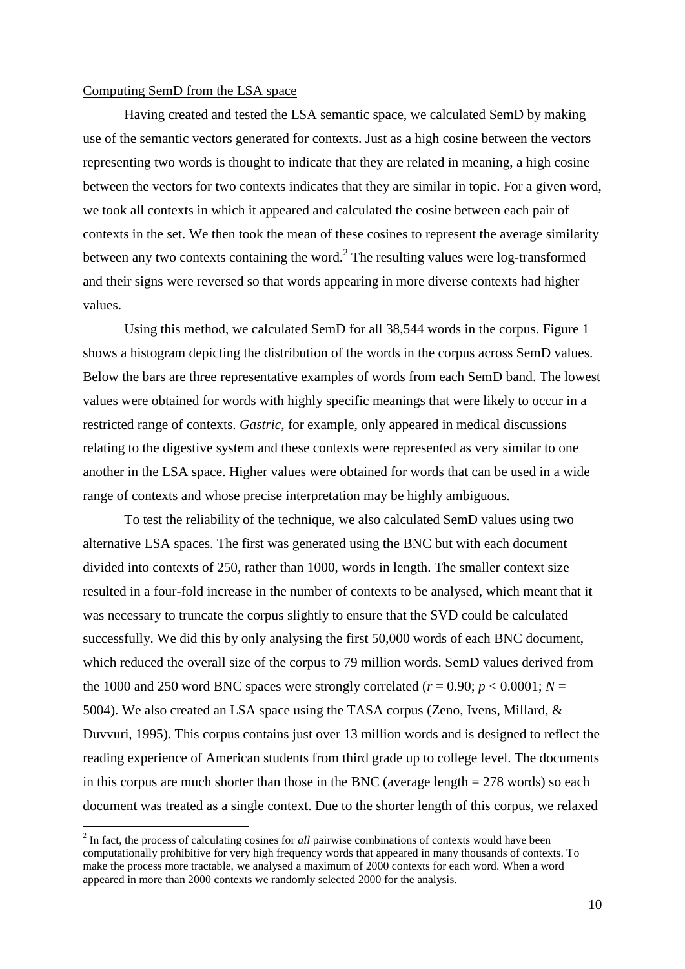#### Computing SemD from the LSA space

1

Having created and tested the LSA semantic space, we calculated SemD by making use of the semantic vectors generated for contexts. Just as a high cosine between the vectors representing two words is thought to indicate that they are related in meaning, a high cosine between the vectors for two contexts indicates that they are similar in topic. For a given word, we took all contexts in which it appeared and calculated the cosine between each pair of contexts in the set. We then took the mean of these cosines to represent the average similarity between any two contexts containing the word. $2$  The resulting values were log-transformed and their signs were reversed so that words appearing in more diverse contexts had higher values.

Using this method, we calculated SemD for all 38,544 words in the corpus. Figure 1 shows a histogram depicting the distribution of the words in the corpus across SemD values. Below the bars are three representative examples of words from each SemD band. The lowest values were obtained for words with highly specific meanings that were likely to occur in a restricted range of contexts. *Gastric*, for example, only appeared in medical discussions relating to the digestive system and these contexts were represented as very similar to one another in the LSA space. Higher values were obtained for words that can be used in a wide range of contexts and whose precise interpretation may be highly ambiguous.

To test the reliability of the technique, we also calculated SemD values using two alternative LSA spaces. The first was generated using the BNC but with each document divided into contexts of 250, rather than 1000, words in length. The smaller context size resulted in a four-fold increase in the number of contexts to be analysed, which meant that it was necessary to truncate the corpus slightly to ensure that the SVD could be calculated successfully. We did this by only analysing the first 50,000 words of each BNC document, which reduced the overall size of the corpus to 79 million words. SemD values derived from the 1000 and 250 word BNC spaces were strongly correlated ( $r = 0.90$ ;  $p < 0.0001$ ;  $N =$ 5004). We also created an LSA space using the TASA corpus (Zeno, Ivens, Millard, & Duvvuri, 1995). This corpus contains just over 13 million words and is designed to reflect the reading experience of American students from third grade up to college level. The documents in this corpus are much shorter than those in the BNC (average length  $= 278$  words) so each document was treated as a single context. Due to the shorter length of this corpus, we relaxed

<sup>&</sup>lt;sup>2</sup> In fact, the process of calculating cosines for *all* pairwise combinations of contexts would have been computationally prohibitive for very high frequency words that appeared in many thousands of contexts. To make the process more tractable, we analysed a maximum of 2000 contexts for each word. When a word appeared in more than 2000 contexts we randomly selected 2000 for the analysis.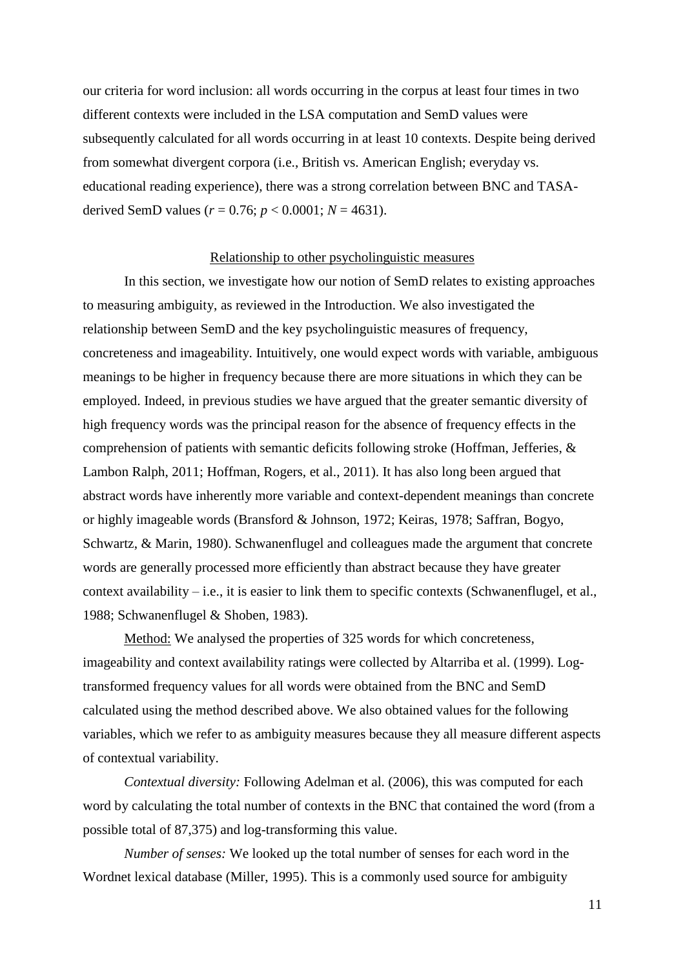our criteria for word inclusion: all words occurring in the corpus at least four times in two different contexts were included in the LSA computation and SemD values were subsequently calculated for all words occurring in at least 10 contexts. Despite being derived from somewhat divergent corpora (i.e., British vs. American English; everyday vs. educational reading experience), there was a strong correlation between BNC and TASAderived SemD values ( $r = 0.76$ ;  $p < 0.0001$ ;  $N = 4631$ ).

#### Relationship to other psycholinguistic measures

In this section, we investigate how our notion of SemD relates to existing approaches to measuring ambiguity, as reviewed in the Introduction. We also investigated the relationship between SemD and the key psycholinguistic measures of frequency, concreteness and imageability. Intuitively, one would expect words with variable, ambiguous meanings to be higher in frequency because there are more situations in which they can be employed. Indeed, in previous studies we have argued that the greater semantic diversity of high frequency words was the principal reason for the absence of frequency effects in the comprehension of patients with semantic deficits following stroke (Hoffman, Jefferies, & Lambon Ralph, 2011; Hoffman, Rogers, et al., 2011). It has also long been argued that abstract words have inherently more variable and context-dependent meanings than concrete or highly imageable words (Bransford & Johnson, 1972; Keiras, 1978; Saffran, Bogyo, Schwartz, & Marin, 1980). Schwanenflugel and colleagues made the argument that concrete words are generally processed more efficiently than abstract because they have greater context availability – i.e., it is easier to link them to specific contexts (Schwanenflugel, et al., 1988; Schwanenflugel & Shoben, 1983).

Method: We analysed the properties of 325 words for which concreteness, imageability and context availability ratings were collected by Altarriba et al. (1999). Logtransformed frequency values for all words were obtained from the BNC and SemD calculated using the method described above. We also obtained values for the following variables, which we refer to as ambiguity measures because they all measure different aspects of contextual variability.

*Contextual diversity:* Following Adelman et al. (2006), this was computed for each word by calculating the total number of contexts in the BNC that contained the word (from a possible total of 87,375) and log-transforming this value.

*Number of senses:* We looked up the total number of senses for each word in the Wordnet lexical database (Miller, 1995). This is a commonly used source for ambiguity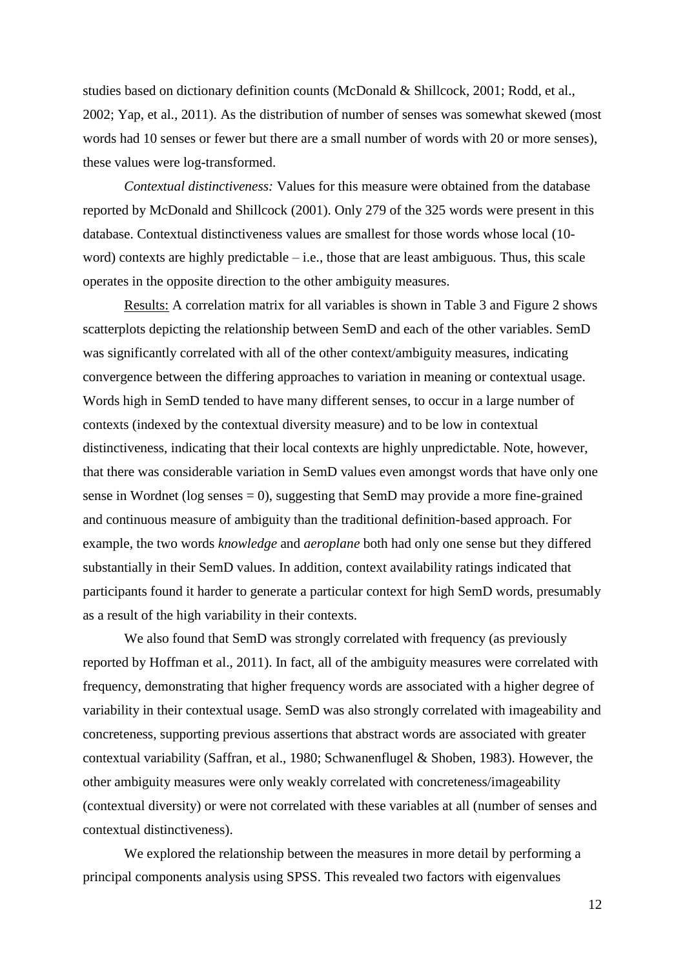studies based on dictionary definition counts (McDonald & Shillcock, 2001; Rodd, et al., 2002; Yap, et al., 2011). As the distribution of number of senses was somewhat skewed (most words had 10 senses or fewer but there are a small number of words with 20 or more senses), these values were log-transformed.

*Contextual distinctiveness:* Values for this measure were obtained from the database reported by McDonald and Shillcock (2001). Only 279 of the 325 words were present in this database. Contextual distinctiveness values are smallest for those words whose local (10 word) contexts are highly predictable  $-$  i.e., those that are least ambiguous. Thus, this scale operates in the opposite direction to the other ambiguity measures.

Results: A correlation matrix for all variables is shown in Table 3 and Figure 2 shows scatterplots depicting the relationship between SemD and each of the other variables. SemD was significantly correlated with all of the other context/ambiguity measures, indicating convergence between the differing approaches to variation in meaning or contextual usage. Words high in SemD tended to have many different senses, to occur in a large number of contexts (indexed by the contextual diversity measure) and to be low in contextual distinctiveness, indicating that their local contexts are highly unpredictable. Note, however, that there was considerable variation in SemD values even amongst words that have only one sense in Wordnet ( $log$  senses  $= 0$ ), suggesting that SemD may provide a more fine-grained and continuous measure of ambiguity than the traditional definition-based approach. For example, the two words *knowledge* and *aeroplane* both had only one sense but they differed substantially in their SemD values. In addition, context availability ratings indicated that participants found it harder to generate a particular context for high SemD words, presumably as a result of the high variability in their contexts.

We also found that SemD was strongly correlated with frequency (as previously reported by Hoffman et al., 2011). In fact, all of the ambiguity measures were correlated with frequency, demonstrating that higher frequency words are associated with a higher degree of variability in their contextual usage. SemD was also strongly correlated with imageability and concreteness, supporting previous assertions that abstract words are associated with greater contextual variability (Saffran, et al., 1980; Schwanenflugel & Shoben, 1983). However, the other ambiguity measures were only weakly correlated with concreteness/imageability (contextual diversity) or were not correlated with these variables at all (number of senses and contextual distinctiveness).

We explored the relationship between the measures in more detail by performing a principal components analysis using SPSS. This revealed two factors with eigenvalues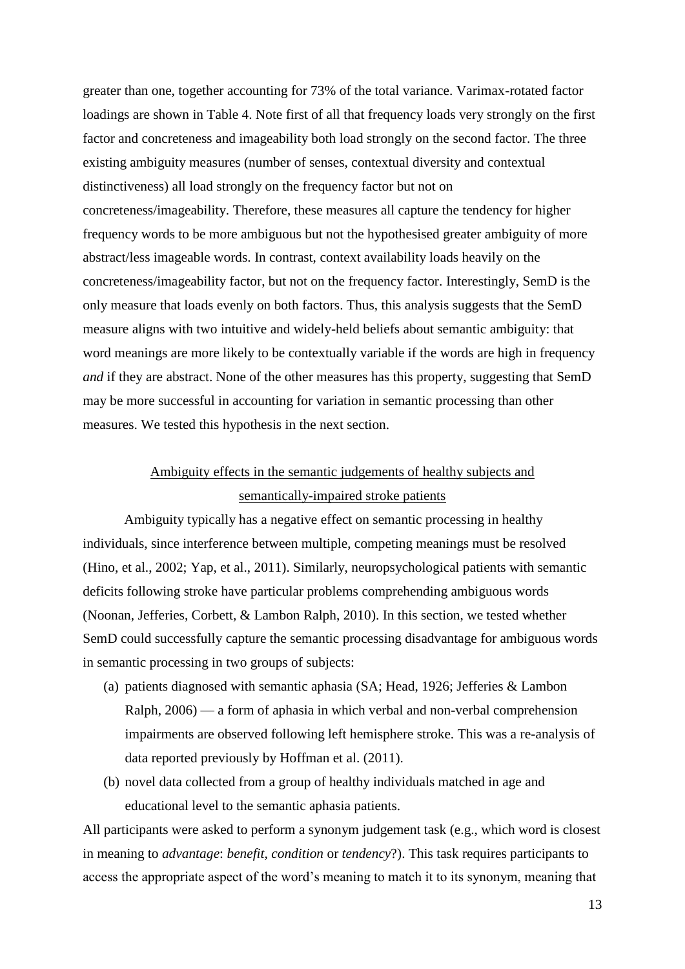greater than one, together accounting for 73% of the total variance. Varimax-rotated factor loadings are shown in Table 4. Note first of all that frequency loads very strongly on the first factor and concreteness and imageability both load strongly on the second factor. The three existing ambiguity measures (number of senses, contextual diversity and contextual distinctiveness) all load strongly on the frequency factor but not on concreteness/imageability. Therefore, these measures all capture the tendency for higher frequency words to be more ambiguous but not the hypothesised greater ambiguity of more abstract/less imageable words. In contrast, context availability loads heavily on the concreteness/imageability factor, but not on the frequency factor. Interestingly, SemD is the only measure that loads evenly on both factors. Thus, this analysis suggests that the SemD measure aligns with two intuitive and widely-held beliefs about semantic ambiguity: that word meanings are more likely to be contextually variable if the words are high in frequency *and* if they are abstract. None of the other measures has this property, suggesting that SemD may be more successful in accounting for variation in semantic processing than other measures. We tested this hypothesis in the next section.

## Ambiguity effects in the semantic judgements of healthy subjects and semantically-impaired stroke patients

Ambiguity typically has a negative effect on semantic processing in healthy individuals, since interference between multiple, competing meanings must be resolved (Hino, et al., 2002; Yap, et al., 2011). Similarly, neuropsychological patients with semantic deficits following stroke have particular problems comprehending ambiguous words (Noonan, Jefferies, Corbett, & Lambon Ralph, 2010). In this section, we tested whether SemD could successfully capture the semantic processing disadvantage for ambiguous words in semantic processing in two groups of subjects:

- (a) patients diagnosed with semantic aphasia (SA; Head, 1926; Jefferies & Lambon Ralph, 2006) — a form of aphasia in which verbal and non-verbal comprehension impairments are observed following left hemisphere stroke. This was a re-analysis of data reported previously by Hoffman et al. (2011).
- (b) novel data collected from a group of healthy individuals matched in age and educational level to the semantic aphasia patients.

All participants were asked to perform a synonym judgement task (e.g., which word is closest in meaning to *advantage*: *benefit, condition* or *tendency*?). This task requires participants to access the appropriate aspect of the word's meaning to match it to its synonym, meaning that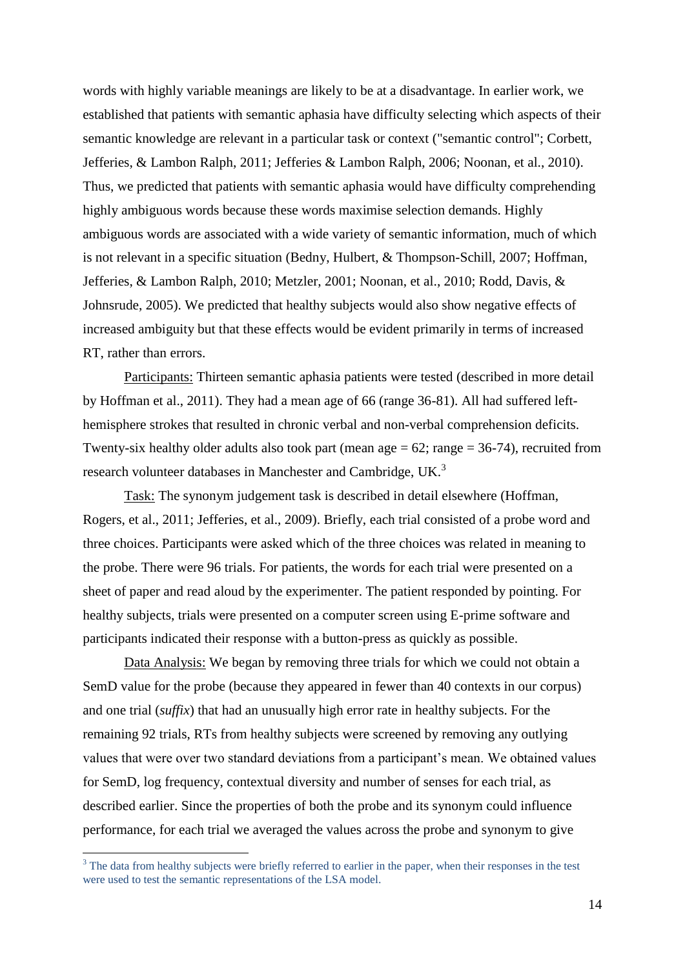words with highly variable meanings are likely to be at a disadvantage. In earlier work, we established that patients with semantic aphasia have difficulty selecting which aspects of their semantic knowledge are relevant in a particular task or context ("semantic control"; Corbett, Jefferies, & Lambon Ralph, 2011; Jefferies & Lambon Ralph, 2006; Noonan, et al., 2010). Thus, we predicted that patients with semantic aphasia would have difficulty comprehending highly ambiguous words because these words maximise selection demands. Highly ambiguous words are associated with a wide variety of semantic information, much of which is not relevant in a specific situation (Bedny, Hulbert, & Thompson-Schill, 2007; Hoffman, Jefferies, & Lambon Ralph, 2010; Metzler, 2001; Noonan, et al., 2010; Rodd, Davis, & Johnsrude, 2005). We predicted that healthy subjects would also show negative effects of increased ambiguity but that these effects would be evident primarily in terms of increased RT, rather than errors.

Participants: Thirteen semantic aphasia patients were tested (described in more detail by Hoffman et al., 2011). They had a mean age of 66 (range 36-81). All had suffered lefthemisphere strokes that resulted in chronic verbal and non-verbal comprehension deficits. Twenty-six healthy older adults also took part (mean age  $= 62$ ; range  $= 36-74$ ), recruited from research volunteer databases in Manchester and Cambridge, UK.<sup>3</sup>

Task: The synonym judgement task is described in detail elsewhere (Hoffman, Rogers, et al., 2011; Jefferies, et al., 2009). Briefly, each trial consisted of a probe word and three choices. Participants were asked which of the three choices was related in meaning to the probe. There were 96 trials. For patients, the words for each trial were presented on a sheet of paper and read aloud by the experimenter. The patient responded by pointing. For healthy subjects, trials were presented on a computer screen using E-prime software and participants indicated their response with a button-press as quickly as possible.

Data Analysis: We began by removing three trials for which we could not obtain a SemD value for the probe (because they appeared in fewer than 40 contexts in our corpus) and one trial (*suffix*) that had an unusually high error rate in healthy subjects. For the remaining 92 trials, RTs from healthy subjects were screened by removing any outlying values that were over two standard deviations from a participant's mean. We obtained values for SemD, log frequency, contextual diversity and number of senses for each trial, as described earlier. Since the properties of both the probe and its synonym could influence performance, for each trial we averaged the values across the probe and synonym to give

1

 $3$  The data from healthy subjects were briefly referred to earlier in the paper, when their responses in the test were used to test the semantic representations of the LSA model.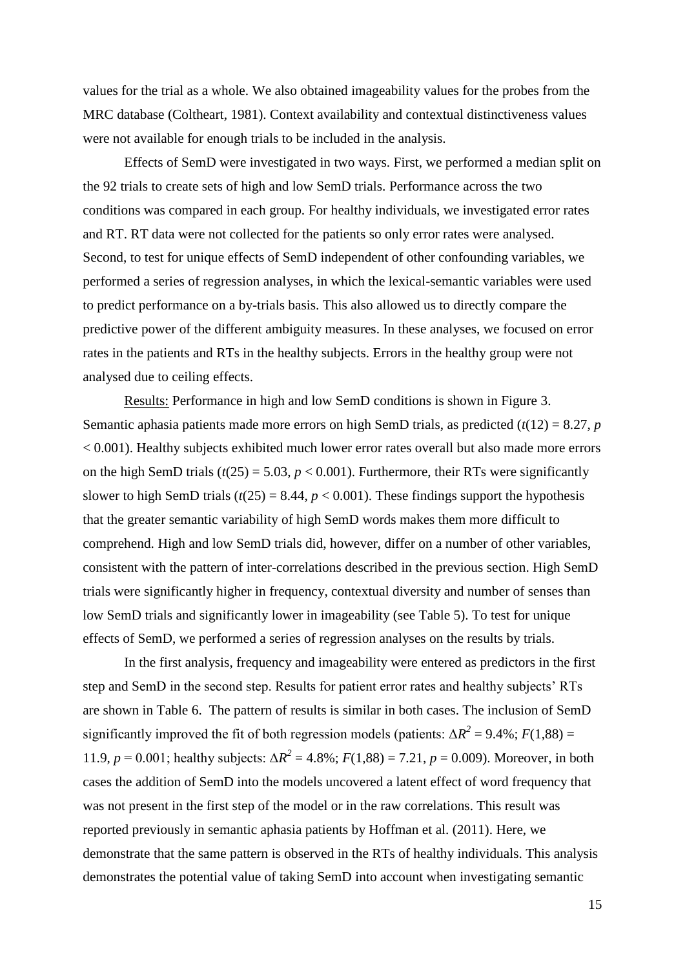values for the trial as a whole. We also obtained imageability values for the probes from the MRC database (Coltheart, 1981). Context availability and contextual distinctiveness values were not available for enough trials to be included in the analysis.

Effects of SemD were investigated in two ways. First, we performed a median split on the 92 trials to create sets of high and low SemD trials. Performance across the two conditions was compared in each group. For healthy individuals, we investigated error rates and RT. RT data were not collected for the patients so only error rates were analysed. Second, to test for unique effects of SemD independent of other confounding variables, we performed a series of regression analyses, in which the lexical-semantic variables were used to predict performance on a by-trials basis. This also allowed us to directly compare the predictive power of the different ambiguity measures. In these analyses, we focused on error rates in the patients and RTs in the healthy subjects. Errors in the healthy group were not analysed due to ceiling effects.

Results: Performance in high and low SemD conditions is shown in Figure 3. Semantic aphasia patients made more errors on high SemD trials, as predicted  $(t(12) = 8.27, p$ < 0.001). Healthy subjects exhibited much lower error rates overall but also made more errors on the high SemD trials ( $t(25) = 5.03$ ,  $p < 0.001$ ). Furthermore, their RTs were significantly slower to high SemD trials  $(t(25) = 8.44, p < 0.001)$ . These findings support the hypothesis that the greater semantic variability of high SemD words makes them more difficult to comprehend. High and low SemD trials did, however, differ on a number of other variables, consistent with the pattern of inter-correlations described in the previous section. High SemD trials were significantly higher in frequency, contextual diversity and number of senses than low SemD trials and significantly lower in imageability (see Table 5). To test for unique effects of SemD, we performed a series of regression analyses on the results by trials.

In the first analysis, frequency and imageability were entered as predictors in the first step and SemD in the second step. Results for patient error rates and healthy subjects' RTs are shown in Table 6. The pattern of results is similar in both cases. The inclusion of SemD significantly improved the fit of both regression models (patients:  $\Delta R^2 = 9.4\%$ ;  $F(1,88) =$ 11.9,  $p = 0.001$ ; healthy subjects:  $\Delta R^2 = 4.8\%$ ;  $F(1,88) = 7.21$ ,  $p = 0.009$ ). Moreover, in both cases the addition of SemD into the models uncovered a latent effect of word frequency that was not present in the first step of the model or in the raw correlations. This result was reported previously in semantic aphasia patients by Hoffman et al. (2011). Here, we demonstrate that the same pattern is observed in the RTs of healthy individuals. This analysis demonstrates the potential value of taking SemD into account when investigating semantic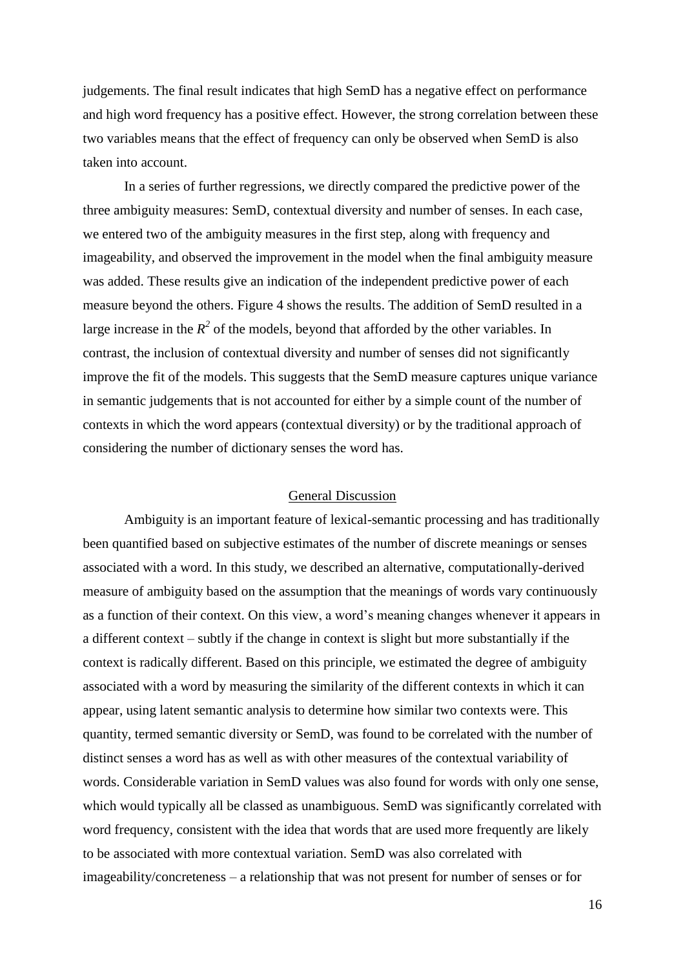judgements. The final result indicates that high SemD has a negative effect on performance and high word frequency has a positive effect. However, the strong correlation between these two variables means that the effect of frequency can only be observed when SemD is also taken into account.

In a series of further regressions, we directly compared the predictive power of the three ambiguity measures: SemD, contextual diversity and number of senses. In each case, we entered two of the ambiguity measures in the first step, along with frequency and imageability, and observed the improvement in the model when the final ambiguity measure was added. These results give an indication of the independent predictive power of each measure beyond the others. Figure 4 shows the results. The addition of SemD resulted in a large increase in the  $R^2$  of the models, beyond that afforded by the other variables. In contrast, the inclusion of contextual diversity and number of senses did not significantly improve the fit of the models. This suggests that the SemD measure captures unique variance in semantic judgements that is not accounted for either by a simple count of the number of contexts in which the word appears (contextual diversity) or by the traditional approach of considering the number of dictionary senses the word has.

#### General Discussion

Ambiguity is an important feature of lexical-semantic processing and has traditionally been quantified based on subjective estimates of the number of discrete meanings or senses associated with a word. In this study, we described an alternative, computationally-derived measure of ambiguity based on the assumption that the meanings of words vary continuously as a function of their context. On this view, a word's meaning changes whenever it appears in a different context – subtly if the change in context is slight but more substantially if the context is radically different. Based on this principle, we estimated the degree of ambiguity associated with a word by measuring the similarity of the different contexts in which it can appear, using latent semantic analysis to determine how similar two contexts were. This quantity, termed semantic diversity or SemD, was found to be correlated with the number of distinct senses a word has as well as with other measures of the contextual variability of words. Considerable variation in SemD values was also found for words with only one sense, which would typically all be classed as unambiguous. SemD was significantly correlated with word frequency, consistent with the idea that words that are used more frequently are likely to be associated with more contextual variation. SemD was also correlated with imageability/concreteness – a relationship that was not present for number of senses or for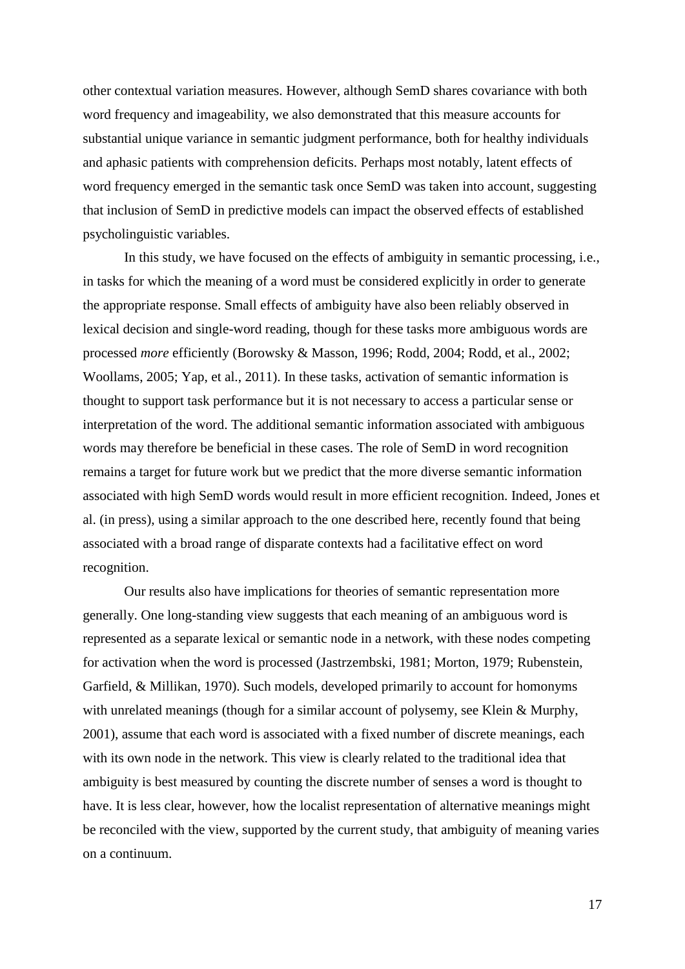other contextual variation measures. However, although SemD shares covariance with both word frequency and imageability, we also demonstrated that this measure accounts for substantial unique variance in semantic judgment performance, both for healthy individuals and aphasic patients with comprehension deficits. Perhaps most notably, latent effects of word frequency emerged in the semantic task once SemD was taken into account, suggesting that inclusion of SemD in predictive models can impact the observed effects of established psycholinguistic variables.

In this study, we have focused on the effects of ambiguity in semantic processing, i.e., in tasks for which the meaning of a word must be considered explicitly in order to generate the appropriate response. Small effects of ambiguity have also been reliably observed in lexical decision and single-word reading, though for these tasks more ambiguous words are processed *more* efficiently (Borowsky & Masson, 1996; Rodd, 2004; Rodd, et al., 2002; Woollams, 2005; Yap, et al., 2011). In these tasks, activation of semantic information is thought to support task performance but it is not necessary to access a particular sense or interpretation of the word. The additional semantic information associated with ambiguous words may therefore be beneficial in these cases. The role of SemD in word recognition remains a target for future work but we predict that the more diverse semantic information associated with high SemD words would result in more efficient recognition. Indeed, Jones et al. (in press), using a similar approach to the one described here, recently found that being associated with a broad range of disparate contexts had a facilitative effect on word recognition.

Our results also have implications for theories of semantic representation more generally. One long-standing view suggests that each meaning of an ambiguous word is represented as a separate lexical or semantic node in a network, with these nodes competing for activation when the word is processed (Jastrzembski, 1981; Morton, 1979; Rubenstein, Garfield, & Millikan, 1970). Such models, developed primarily to account for homonyms with unrelated meanings (though for a similar account of polysemy, see Klein & Murphy, 2001), assume that each word is associated with a fixed number of discrete meanings, each with its own node in the network. This view is clearly related to the traditional idea that ambiguity is best measured by counting the discrete number of senses a word is thought to have. It is less clear, however, how the localist representation of alternative meanings might be reconciled with the view, supported by the current study, that ambiguity of meaning varies on a continuum.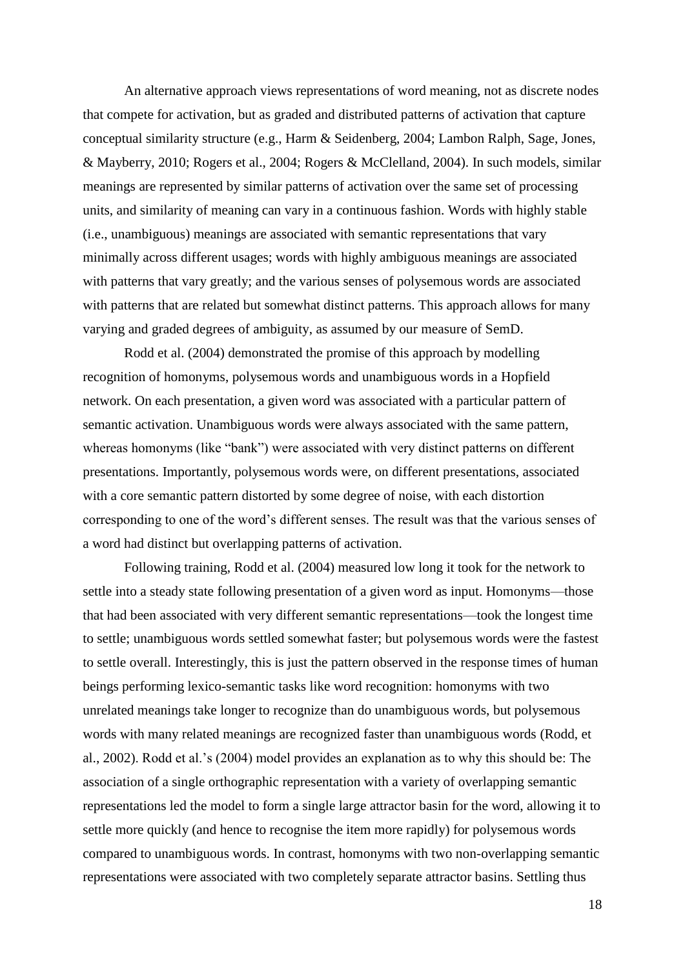An alternative approach views representations of word meaning, not as discrete nodes that compete for activation, but as graded and distributed patterns of activation that capture conceptual similarity structure (e.g., Harm & Seidenberg, 2004; Lambon Ralph, Sage, Jones, & Mayberry, 2010; Rogers et al., 2004; Rogers & McClelland, 2004). In such models, similar meanings are represented by similar patterns of activation over the same set of processing units, and similarity of meaning can vary in a continuous fashion. Words with highly stable (i.e., unambiguous) meanings are associated with semantic representations that vary minimally across different usages; words with highly ambiguous meanings are associated with patterns that vary greatly; and the various senses of polysemous words are associated with patterns that are related but somewhat distinct patterns. This approach allows for many varying and graded degrees of ambiguity, as assumed by our measure of SemD.

Rodd et al. (2004) demonstrated the promise of this approach by modelling recognition of homonyms, polysemous words and unambiguous words in a Hopfield network. On each presentation, a given word was associated with a particular pattern of semantic activation. Unambiguous words were always associated with the same pattern, whereas homonyms (like "bank") were associated with very distinct patterns on different presentations. Importantly, polysemous words were, on different presentations, associated with a core semantic pattern distorted by some degree of noise, with each distortion corresponding to one of the word's different senses. The result was that the various senses of a word had distinct but overlapping patterns of activation.

Following training, Rodd et al. (2004) measured low long it took for the network to settle into a steady state following presentation of a given word as input. Homonyms—those that had been associated with very different semantic representations—took the longest time to settle; unambiguous words settled somewhat faster; but polysemous words were the fastest to settle overall. Interestingly, this is just the pattern observed in the response times of human beings performing lexico-semantic tasks like word recognition: homonyms with two unrelated meanings take longer to recognize than do unambiguous words, but polysemous words with many related meanings are recognized faster than unambiguous words (Rodd, et al., 2002). Rodd et al.'s (2004) model provides an explanation as to why this should be: The association of a single orthographic representation with a variety of overlapping semantic representations led the model to form a single large attractor basin for the word, allowing it to settle more quickly (and hence to recognise the item more rapidly) for polysemous words compared to unambiguous words. In contrast, homonyms with two non-overlapping semantic representations were associated with two completely separate attractor basins. Settling thus

18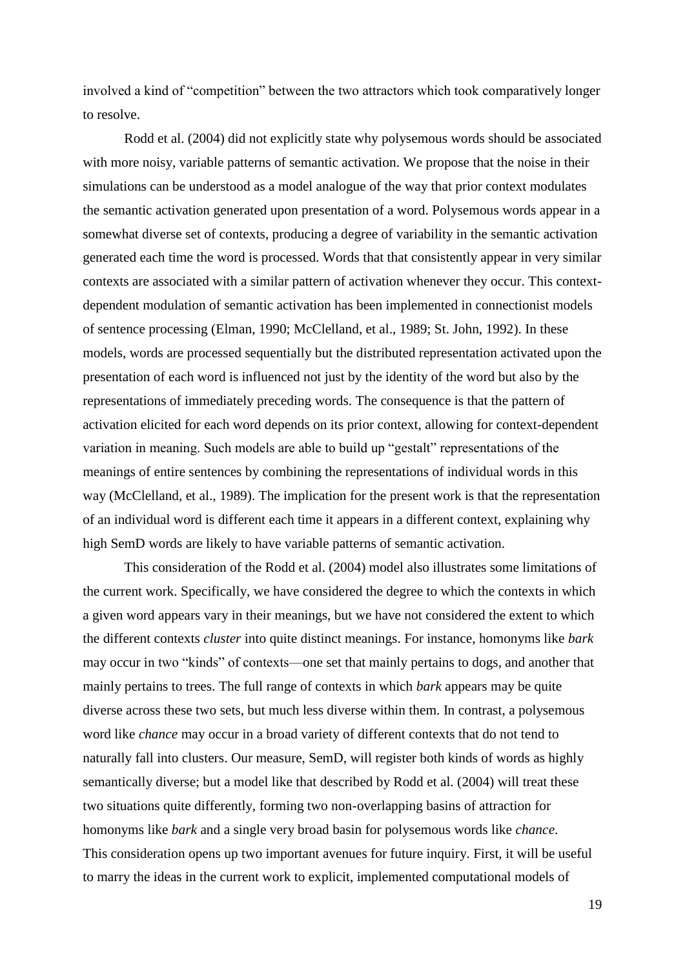involved a kind of "competition" between the two attractors which took comparatively longer to resolve.

Rodd et al. (2004) did not explicitly state why polysemous words should be associated with more noisy, variable patterns of semantic activation. We propose that the noise in their simulations can be understood as a model analogue of the way that prior context modulates the semantic activation generated upon presentation of a word. Polysemous words appear in a somewhat diverse set of contexts, producing a degree of variability in the semantic activation generated each time the word is processed. Words that that consistently appear in very similar contexts are associated with a similar pattern of activation whenever they occur. This contextdependent modulation of semantic activation has been implemented in connectionist models of sentence processing (Elman, 1990; McClelland, et al., 1989; St. John, 1992). In these models, words are processed sequentially but the distributed representation activated upon the presentation of each word is influenced not just by the identity of the word but also by the representations of immediately preceding words. The consequence is that the pattern of activation elicited for each word depends on its prior context, allowing for context-dependent variation in meaning. Such models are able to build up "gestalt" representations of the meanings of entire sentences by combining the representations of individual words in this way (McClelland, et al., 1989). The implication for the present work is that the representation of an individual word is different each time it appears in a different context, explaining why high SemD words are likely to have variable patterns of semantic activation.

This consideration of the Rodd et al. (2004) model also illustrates some limitations of the current work. Specifically, we have considered the degree to which the contexts in which a given word appears vary in their meanings, but we have not considered the extent to which the different contexts *cluster* into quite distinct meanings. For instance, homonyms like *bark* may occur in two "kinds" of contexts—one set that mainly pertains to dogs, and another that mainly pertains to trees. The full range of contexts in which *bark* appears may be quite diverse across these two sets, but much less diverse within them. In contrast, a polysemous word like *chance* may occur in a broad variety of different contexts that do not tend to naturally fall into clusters. Our measure, SemD, will register both kinds of words as highly semantically diverse; but a model like that described by Rodd et al. (2004) will treat these two situations quite differently, forming two non-overlapping basins of attraction for homonyms like *bark* and a single very broad basin for polysemous words like *chance*. This consideration opens up two important avenues for future inquiry. First, it will be useful to marry the ideas in the current work to explicit, implemented computational models of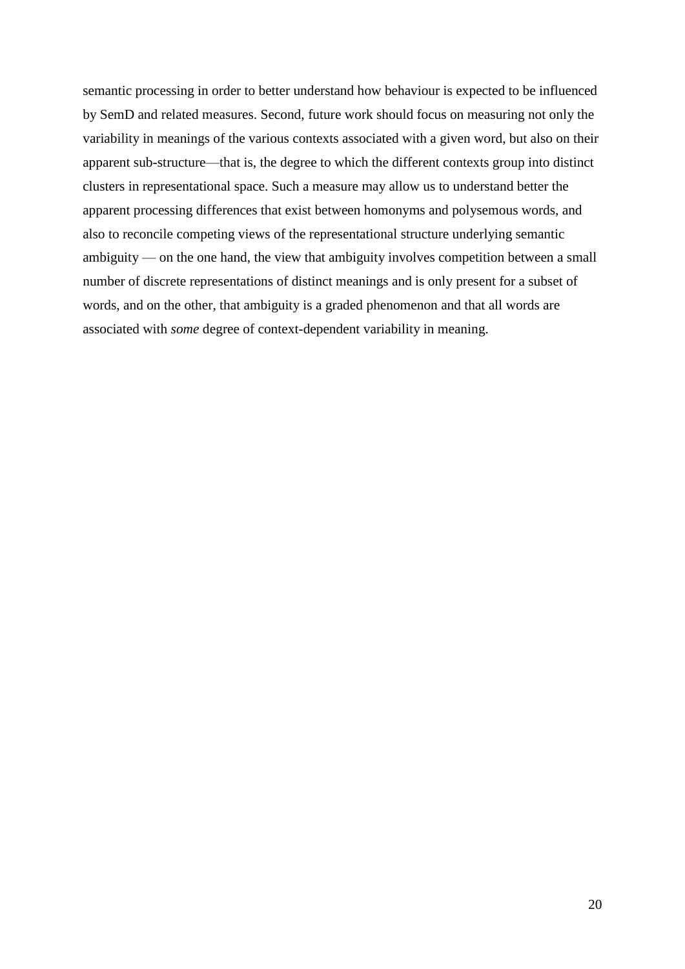semantic processing in order to better understand how behaviour is expected to be influenced by SemD and related measures. Second, future work should focus on measuring not only the variability in meanings of the various contexts associated with a given word, but also on their apparent sub-structure—that is, the degree to which the different contexts group into distinct clusters in representational space. Such a measure may allow us to understand better the apparent processing differences that exist between homonyms and polysemous words, and also to reconcile competing views of the representational structure underlying semantic ambiguity — on the one hand, the view that ambiguity involves competition between a small number of discrete representations of distinct meanings and is only present for a subset of words, and on the other, that ambiguity is a graded phenomenon and that all words are associated with *some* degree of context-dependent variability in meaning.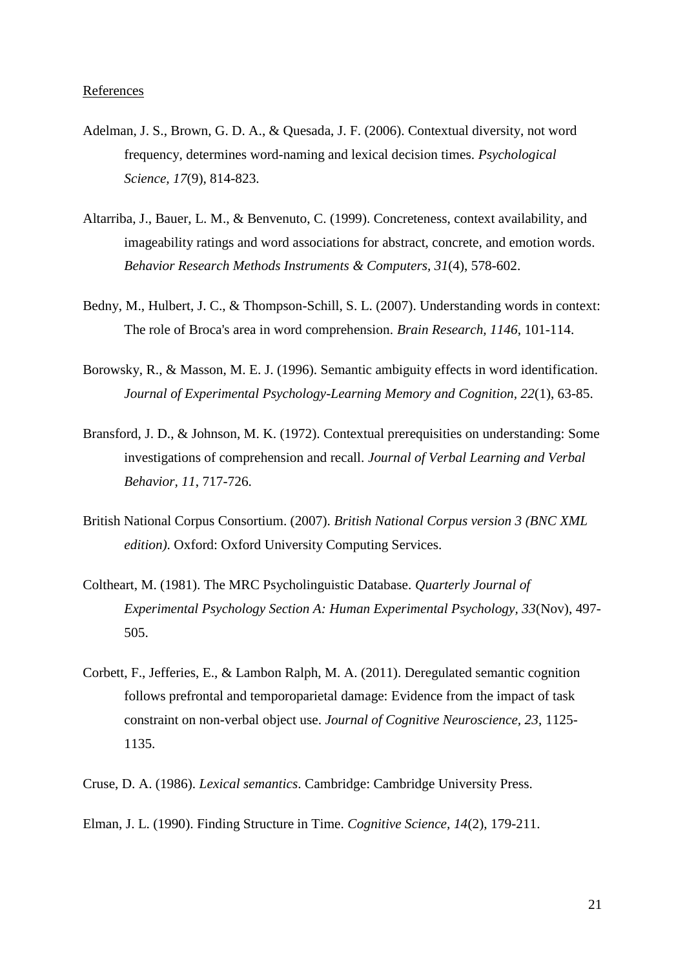- Adelman, J. S., Brown, G. D. A., & Quesada, J. F. (2006). Contextual diversity, not word frequency, determines word-naming and lexical decision times. *Psychological Science, 17*(9), 814-823.
- Altarriba, J., Bauer, L. M., & Benvenuto, C. (1999). Concreteness, context availability, and imageability ratings and word associations for abstract, concrete, and emotion words. *Behavior Research Methods Instruments & Computers, 31*(4), 578-602.
- Bedny, M., Hulbert, J. C., & Thompson-Schill, S. L. (2007). Understanding words in context: The role of Broca's area in word comprehension. *Brain Research, 1146*, 101-114.
- Borowsky, R., & Masson, M. E. J. (1996). Semantic ambiguity effects in word identification. *Journal of Experimental Psychology-Learning Memory and Cognition, 22*(1), 63-85.
- Bransford, J. D., & Johnson, M. K. (1972). Contextual prerequisities on understanding: Some investigations of comprehension and recall. *Journal of Verbal Learning and Verbal Behavior, 11*, 717-726.
- British National Corpus Consortium. (2007). *British National Corpus version 3 (BNC XML edition)*. Oxford: Oxford University Computing Services.
- Coltheart, M. (1981). The MRC Psycholinguistic Database. *Quarterly Journal of Experimental Psychology Section A: Human Experimental Psychology, 33*(Nov), 497- 505.
- Corbett, F., Jefferies, E., & Lambon Ralph, M. A. (2011). Deregulated semantic cognition follows prefrontal and temporoparietal damage: Evidence from the impact of task constraint on non-verbal object use. *Journal of Cognitive Neuroscience, 23*, 1125- 1135.
- Cruse, D. A. (1986). *Lexical semantics*. Cambridge: Cambridge University Press.
- Elman, J. L. (1990). Finding Structure in Time. *Cognitive Science, 14*(2), 179-211.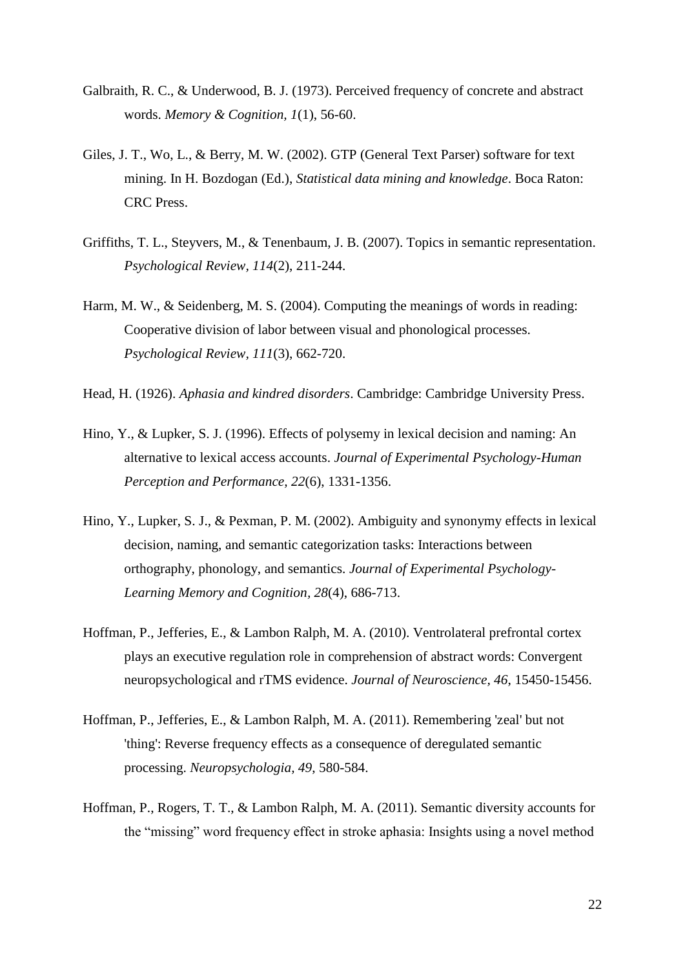- Galbraith, R. C., & Underwood, B. J. (1973). Perceived frequency of concrete and abstract words. *Memory & Cognition, 1*(1), 56-60.
- Giles, J. T., Wo, L., & Berry, M. W. (2002). GTP (General Text Parser) software for text mining. In H. Bozdogan (Ed.), *Statistical data mining and knowledge*. Boca Raton: CRC Press.
- Griffiths, T. L., Steyvers, M., & Tenenbaum, J. B. (2007). Topics in semantic representation. *Psychological Review, 114*(2), 211-244.
- Harm, M. W., & Seidenberg, M. S. (2004). Computing the meanings of words in reading: Cooperative division of labor between visual and phonological processes. *Psychological Review, 111*(3), 662-720.
- Head, H. (1926). *Aphasia and kindred disorders*. Cambridge: Cambridge University Press.
- Hino, Y., & Lupker, S. J. (1996). Effects of polysemy in lexical decision and naming: An alternative to lexical access accounts. *Journal of Experimental Psychology-Human Perception and Performance, 22*(6), 1331-1356.
- Hino, Y., Lupker, S. J., & Pexman, P. M. (2002). Ambiguity and synonymy effects in lexical decision, naming, and semantic categorization tasks: Interactions between orthography, phonology, and semantics. *Journal of Experimental Psychology-Learning Memory and Cognition, 28*(4), 686-713.
- Hoffman, P., Jefferies, E., & Lambon Ralph, M. A. (2010). Ventrolateral prefrontal cortex plays an executive regulation role in comprehension of abstract words: Convergent neuropsychological and rTMS evidence. *Journal of Neuroscience, 46*, 15450-15456.
- Hoffman, P., Jefferies, E., & Lambon Ralph, M. A. (2011). Remembering 'zeal' but not 'thing': Reverse frequency effects as a consequence of deregulated semantic processing. *Neuropsychologia, 49*, 580-584.
- Hoffman, P., Rogers, T. T., & Lambon Ralph, M. A. (2011). Semantic diversity accounts for the "missing" word frequency effect in stroke aphasia: Insights using a novel method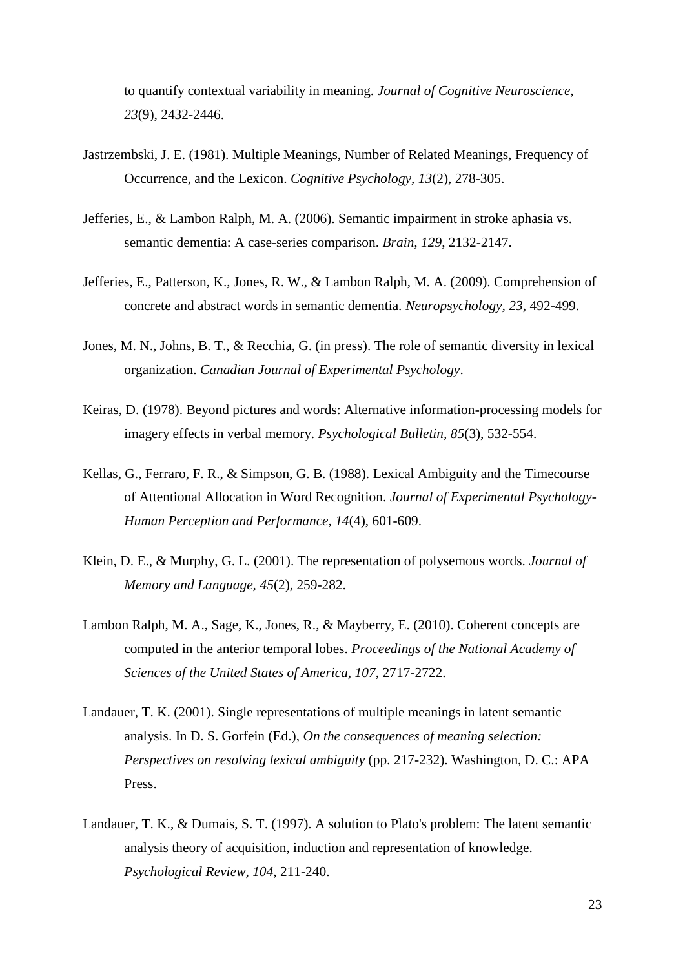to quantify contextual variability in meaning. *Journal of Cognitive Neuroscience, 23*(9), 2432-2446.

- Jastrzembski, J. E. (1981). Multiple Meanings, Number of Related Meanings, Frequency of Occurrence, and the Lexicon. *Cognitive Psychology, 13*(2), 278-305.
- Jefferies, E., & Lambon Ralph, M. A. (2006). Semantic impairment in stroke aphasia vs. semantic dementia: A case-series comparison. *Brain, 129*, 2132-2147.
- Jefferies, E., Patterson, K., Jones, R. W., & Lambon Ralph, M. A. (2009). Comprehension of concrete and abstract words in semantic dementia. *Neuropsychology, 23*, 492-499.
- Jones, M. N., Johns, B. T., & Recchia, G. (in press). The role of semantic diversity in lexical organization. *Canadian Journal of Experimental Psychology*.
- Keiras, D. (1978). Beyond pictures and words: Alternative information-processing models for imagery effects in verbal memory. *Psychological Bulletin, 85*(3), 532-554.
- Kellas, G., Ferraro, F. R., & Simpson, G. B. (1988). Lexical Ambiguity and the Timecourse of Attentional Allocation in Word Recognition. *Journal of Experimental Psychology-Human Perception and Performance, 14*(4), 601-609.
- Klein, D. E., & Murphy, G. L. (2001). The representation of polysemous words. *Journal of Memory and Language, 45*(2), 259-282.
- Lambon Ralph, M. A., Sage, K., Jones, R., & Mayberry, E. (2010). Coherent concepts are computed in the anterior temporal lobes. *Proceedings of the National Academy of Sciences of the United States of America, 107*, 2717-2722.
- Landauer, T. K. (2001). Single representations of multiple meanings in latent semantic analysis. In D. S. Gorfein (Ed.), *On the consequences of meaning selection: Perspectives on resolving lexical ambiguity* (pp. 217-232). Washington, D. C.: APA Press.
- Landauer, T. K., & Dumais, S. T. (1997). A solution to Plato's problem: The latent semantic analysis theory of acquisition, induction and representation of knowledge. *Psychological Review, 104*, 211-240.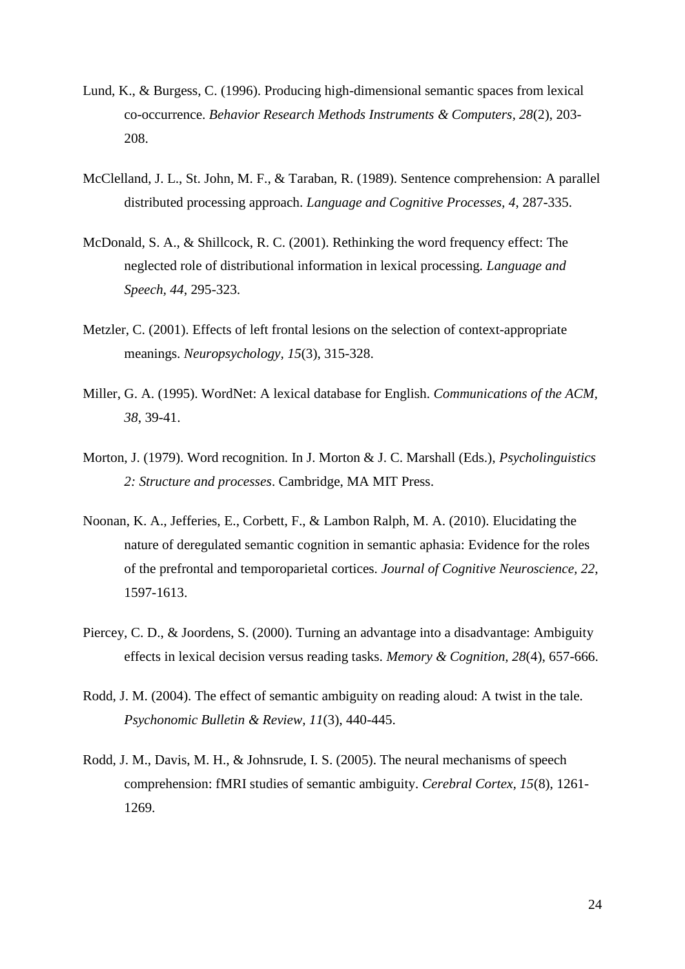- Lund, K., & Burgess, C. (1996). Producing high-dimensional semantic spaces from lexical co-occurrence. *Behavior Research Methods Instruments & Computers, 28*(2), 203- 208.
- McClelland, J. L., St. John, M. F., & Taraban, R. (1989). Sentence comprehension: A parallel distributed processing approach. *Language and Cognitive Processes, 4*, 287-335.
- McDonald, S. A., & Shillcock, R. C. (2001). Rethinking the word frequency effect: The neglected role of distributional information in lexical processing. *Language and Speech, 44*, 295-323.
- Metzler, C. (2001). Effects of left frontal lesions on the selection of context-appropriate meanings. *Neuropsychology, 15*(3), 315-328.
- Miller, G. A. (1995). WordNet: A lexical database for English. *Communications of the ACM, 38*, 39-41.
- Morton, J. (1979). Word recognition. In J. Morton & J. C. Marshall (Eds.), *Psycholinguistics 2: Structure and processes*. Cambridge, MA MIT Press.
- Noonan, K. A., Jefferies, E., Corbett, F., & Lambon Ralph, M. A. (2010). Elucidating the nature of deregulated semantic cognition in semantic aphasia: Evidence for the roles of the prefrontal and temporoparietal cortices. *Journal of Cognitive Neuroscience, 22*, 1597-1613.
- Piercey, C. D., & Joordens, S. (2000). Turning an advantage into a disadvantage: Ambiguity effects in lexical decision versus reading tasks. *Memory & Cognition, 28*(4), 657-666.
- Rodd, J. M. (2004). The effect of semantic ambiguity on reading aloud: A twist in the tale. *Psychonomic Bulletin & Review, 11*(3), 440-445.
- Rodd, J. M., Davis, M. H., & Johnsrude, I. S. (2005). The neural mechanisms of speech comprehension: fMRI studies of semantic ambiguity. *Cerebral Cortex, 15*(8), 1261- 1269.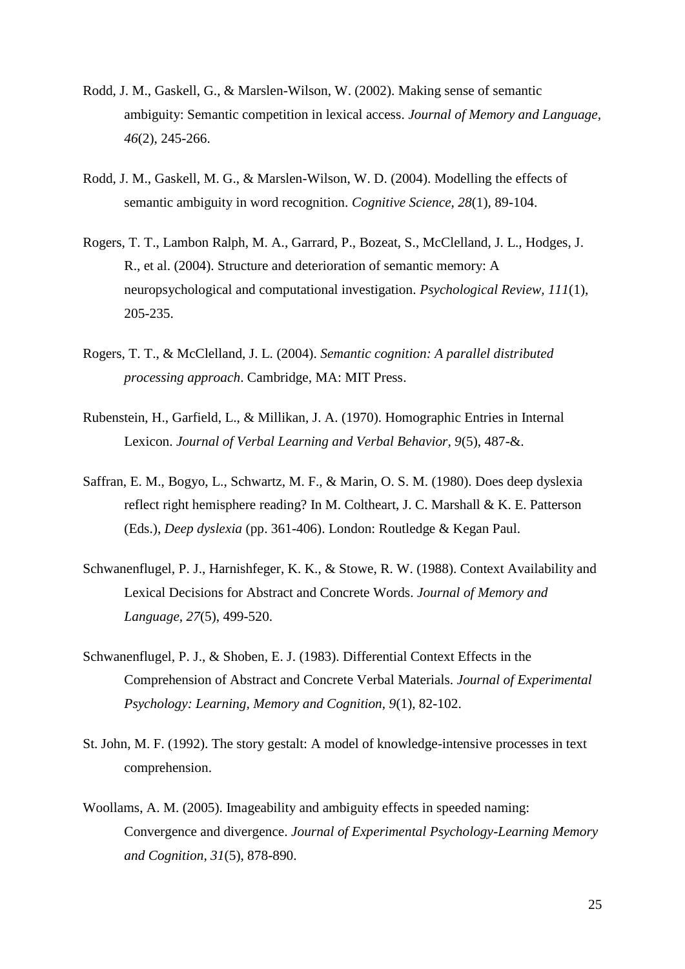- Rodd, J. M., Gaskell, G., & Marslen-Wilson, W. (2002). Making sense of semantic ambiguity: Semantic competition in lexical access. *Journal of Memory and Language, 46*(2), 245-266.
- Rodd, J. M., Gaskell, M. G., & Marslen-Wilson, W. D. (2004). Modelling the effects of semantic ambiguity in word recognition. *Cognitive Science, 28*(1), 89-104.
- Rogers, T. T., Lambon Ralph, M. A., Garrard, P., Bozeat, S., McClelland, J. L., Hodges, J. R., et al. (2004). Structure and deterioration of semantic memory: A neuropsychological and computational investigation. *Psychological Review, 111*(1), 205-235.
- Rogers, T. T., & McClelland, J. L. (2004). *Semantic cognition: A parallel distributed processing approach*. Cambridge, MA: MIT Press.
- Rubenstein, H., Garfield, L., & Millikan, J. A. (1970). Homographic Entries in Internal Lexicon. *Journal of Verbal Learning and Verbal Behavior, 9*(5), 487-&.
- Saffran, E. M., Bogyo, L., Schwartz, M. F., & Marin, O. S. M. (1980). Does deep dyslexia reflect right hemisphere reading? In M. Coltheart, J. C. Marshall & K. E. Patterson (Eds.), *Deep dyslexia* (pp. 361-406). London: Routledge & Kegan Paul.
- Schwanenflugel, P. J., Harnishfeger, K. K., & Stowe, R. W. (1988). Context Availability and Lexical Decisions for Abstract and Concrete Words. *Journal of Memory and Language, 27*(5), 499-520.
- Schwanenflugel, P. J., & Shoben, E. J. (1983). Differential Context Effects in the Comprehension of Abstract and Concrete Verbal Materials. *Journal of Experimental Psychology: Learning, Memory and Cognition, 9*(1), 82-102.
- St. John, M. F. (1992). The story gestalt: A model of knowledge-intensive processes in text comprehension.
- Woollams, A. M. (2005). Imageability and ambiguity effects in speeded naming: Convergence and divergence. *Journal of Experimental Psychology-Learning Memory and Cognition, 31*(5), 878-890.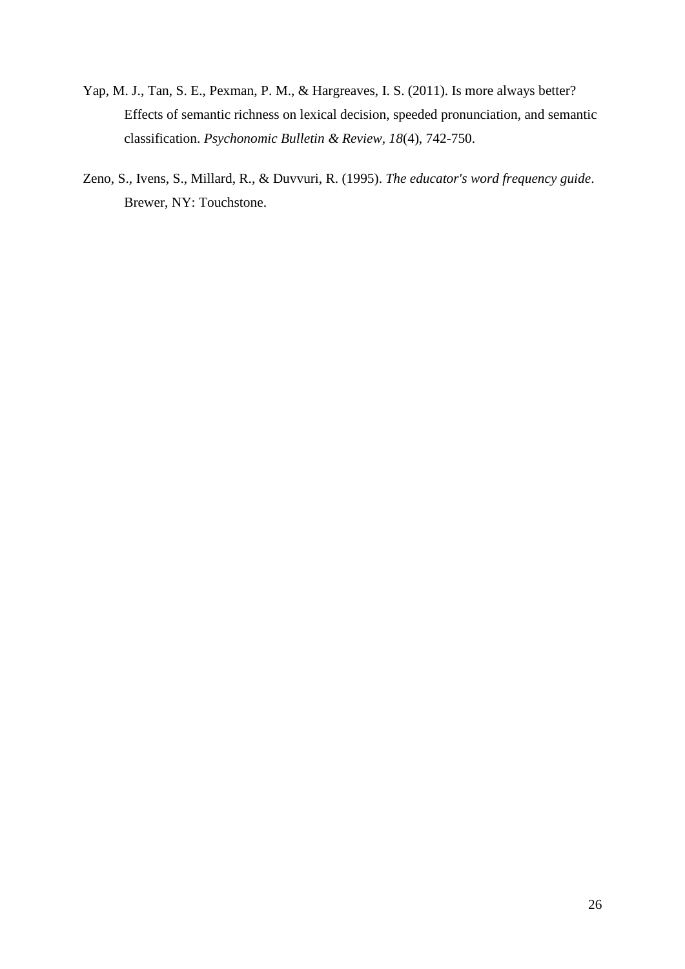- Yap, M. J., Tan, S. E., Pexman, P. M., & Hargreaves, I. S. (2011). Is more always better? Effects of semantic richness on lexical decision, speeded pronunciation, and semantic classification. *Psychonomic Bulletin & Review, 18*(4), 742-750.
- Zeno, S., Ivens, S., Millard, R., & Duvvuri, R. (1995). *The educator's word frequency guide*. Brewer, NY: Touchstone.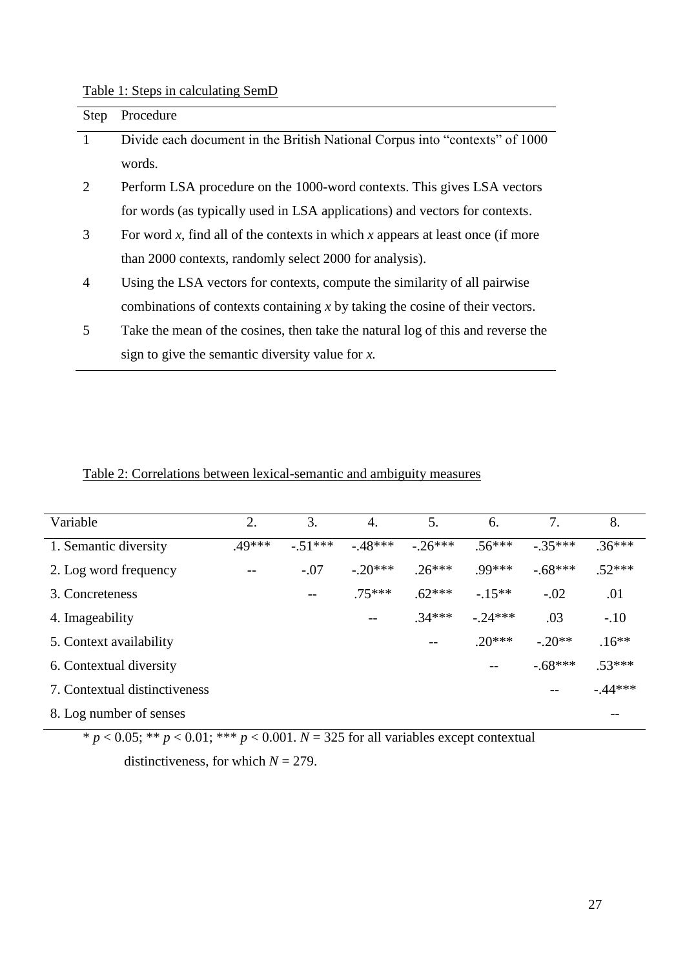## Table 1: Steps in calculating SemD

| Step           | Procedure                                                                           |
|----------------|-------------------------------------------------------------------------------------|
| 1              | Divide each document in the British National Corpus into "contexts" of 1000         |
|                | words.                                                                              |
| 2              | Perform LSA procedure on the 1000-word contexts. This gives LSA vectors             |
|                | for words (as typically used in LSA applications) and vectors for contexts.         |
| 3              | For word $x$ , find all of the contexts in which $x$ appears at least once (if more |
|                | than 2000 contexts, randomly select 2000 for analysis).                             |
| $\overline{4}$ | Using the LSA vectors for contexts, compute the similarity of all pairwise          |
|                | combinations of contexts containing $x$ by taking the cosine of their vectors.      |
| 5              | Take the mean of the cosines, then take the natural log of this and reverse the     |
|                | sign to give the semantic diversity value for $x$ .                                 |

## Table 2: Correlations between lexical-semantic and ambiguity measures

| Variable                      | 2.       | 3.       | 4.       | 5.        | 6.       | 7.        | 8.        |
|-------------------------------|----------|----------|----------|-----------|----------|-----------|-----------|
| 1. Semantic diversity         | $.49***$ | $-51***$ | $-48***$ | $-.26***$ | $.56***$ | $-.35***$ | $.36***$  |
| 2. Log word frequency         |          | $-.07$   | $-20***$ | $.26***$  | $.99***$ | $-.68***$ | $.52***$  |
| 3. Concreteness               |          |          | $.75***$ | $.62***$  | $-.15**$ | $-.02$    | .01       |
| 4. Imageability               |          |          | $- -$    | $.34***$  | $-24***$ | .03       | $-.10$    |
| 5. Context availability       |          |          |          | $-$       | $.20***$ | $-.20**$  | $.16**$   |
| 6. Contextual diversity       |          |          |          |           | --       | $-.68***$ | $.53***$  |
| 7. Contextual distinctiveness |          |          |          |           |          |           | $-.44***$ |
| 8. Log number of senses       |          |          |          |           |          |           | --        |

 $* p < 0.05; ** p < 0.01; *** p < 0.001$ .  $N = 325$  for all variables except contextual distinctiveness, for which  $N = 279$ .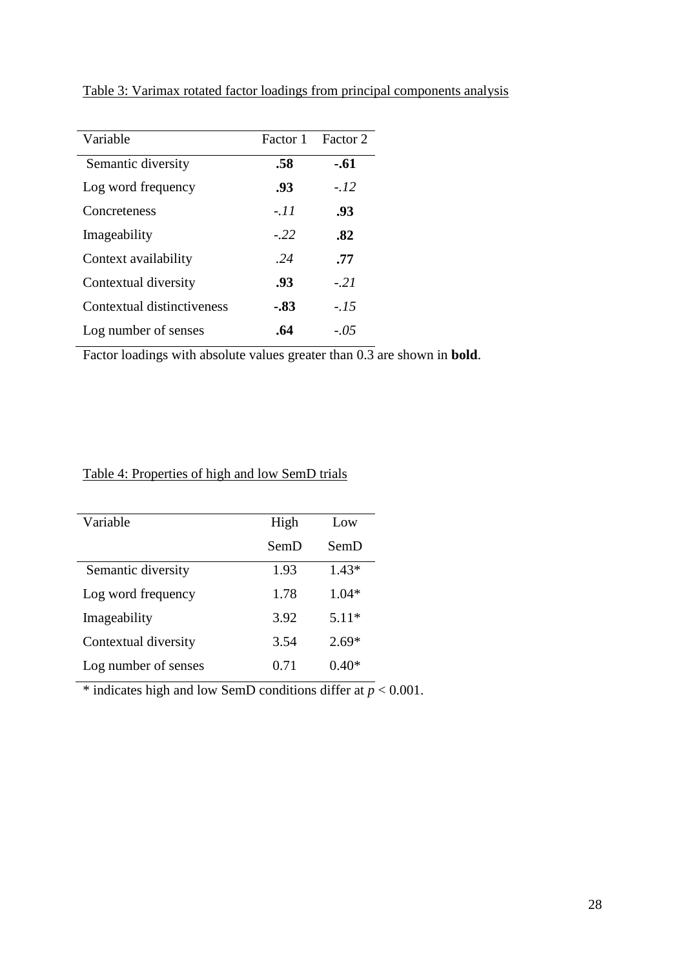| Variable                   | Factor 1 | Factor 2 |
|----------------------------|----------|----------|
| Semantic diversity         | .58      | $-.61$   |
| Log word frequency         | .93      | $-.12$   |
| Concreteness               | $-.11$   | .93      |
| Imageability               | $-.22$   | .82      |
| Context availability       | .24      | .77      |
| Contextual diversity       | .93      | $-21$    |
| Contextual distinctiveness | $-.83$   | $-.15$   |
| Log number of senses       | .64      | $-.05$   |

Table 3: Varimax rotated factor loadings from principal components analysis

Factor loadings with absolute values greater than 0.3 are shown in **bold**.

## Table 4: Properties of high and low SemD trials

| Variable             | High | Low     |
|----------------------|------|---------|
|                      | SemD | SemD    |
| Semantic diversity   | 1.93 | $1.43*$ |
| Log word frequency   | 1.78 | $1.04*$ |
| Imageability         | 3.92 | $5.11*$ |
| Contextual diversity | 3.54 | $2.69*$ |
| Log number of senses | 0.71 | $0.40*$ |

\* indicates high and low SemD conditions differ at  $p < 0.001$ .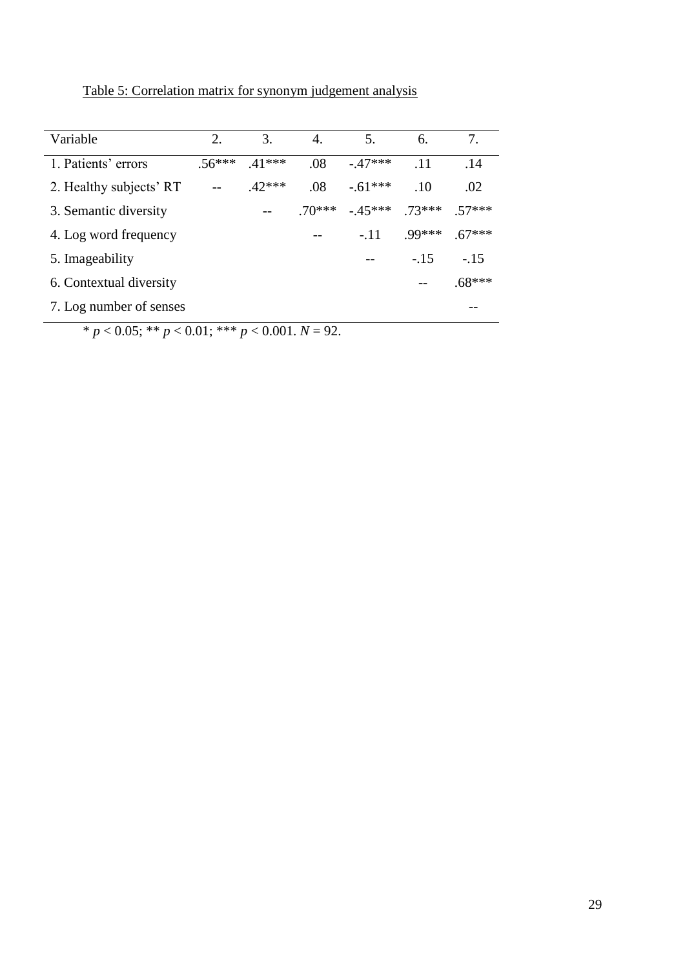Table 5: Correlation matrix for synonym judgement analysis

| Variable                | 2.      | 3.      | 4.      | 5.        | 6.       | 7.       |
|-------------------------|---------|---------|---------|-----------|----------|----------|
| 1. Patients' errors     | $56***$ | $41***$ | .08     | $-47***$  | .11      | .14      |
| 2. Healthy subjects' RT |         | $42***$ | .08     | $-.61***$ | .10      | .02      |
| 3. Semantic diversity   |         |         | $70***$ | $-45***$  | $.73***$ | 57***    |
| 4. Log word frequency   |         |         |         | $-.11$    | $.99***$ | $.67***$ |
| 5. Imageability         |         |         |         |           | $-.15$   | $-.15$   |
| 6. Contextual diversity |         |         |         |           |          | $.68***$ |
| 7. Log number of senses |         |         |         |           |          |          |

 $* p < 0.05; ** p < 0.01; *** p < 0.001. N = 92.$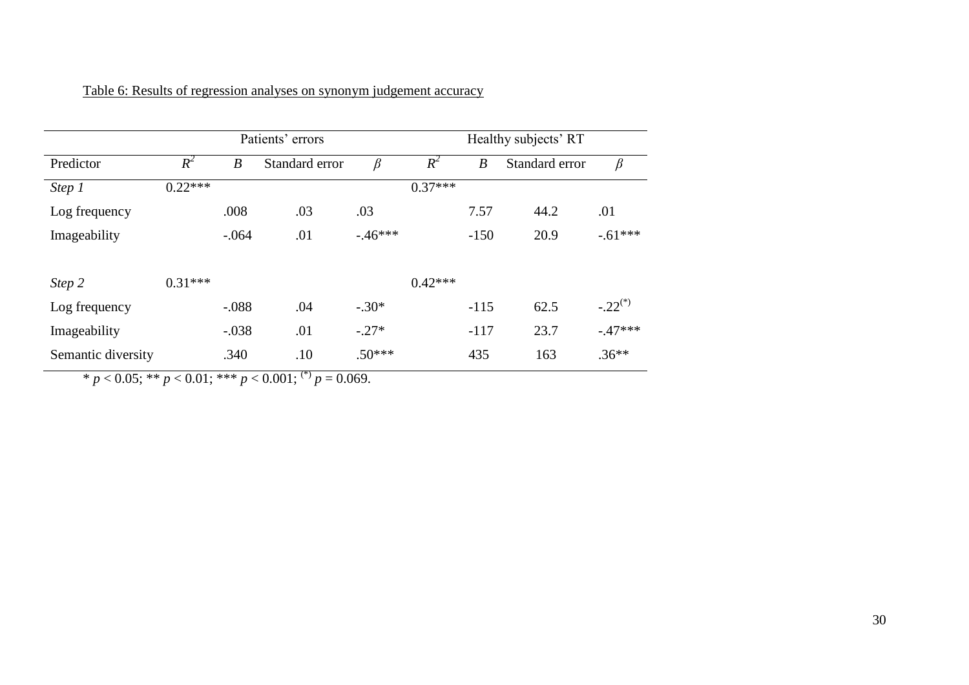|                    |           | Patients' errors |                | Healthy subjects' RT |           |                  |                |              |
|--------------------|-----------|------------------|----------------|----------------------|-----------|------------------|----------------|--------------|
| Predictor          | $R^2$     | $\boldsymbol{B}$ | Standard error | β                    | $R^2$     | $\boldsymbol{B}$ | Standard error | $\beta$      |
| Step 1             | $0.22***$ |                  |                |                      | $0.37***$ |                  |                |              |
| Log frequency      |           | .008             | .03            | .03                  |           | 7.57             | 44.2           | .01          |
| Imageability       |           | $-.064$          | .01            | $-46***$             |           | $-150$           | 20.9           | $-.61***$    |
| Step 2             | $0.31***$ |                  |                |                      | $0.42***$ |                  |                |              |
| Log frequency      |           | $-.088$          | .04            | $-.30*$              |           | $-115$           | 62.5           | $-.22^{(*)}$ |
| Imageability       |           | $-.038$          | .01            | $-.27*$              |           | $-117$           | 23.7           | $-.47***$    |
| Semantic diversity |           | .340             | .10            | $.50***$             |           | 435              | 163            | $.36**$      |

Table 6: Results of regression analyses on synonym judgement accuracy

 $* p < 0.05; ** p < 0.01; ** p < 0.001;$ <sup>(\*)</sup>  $p = 0.069$ .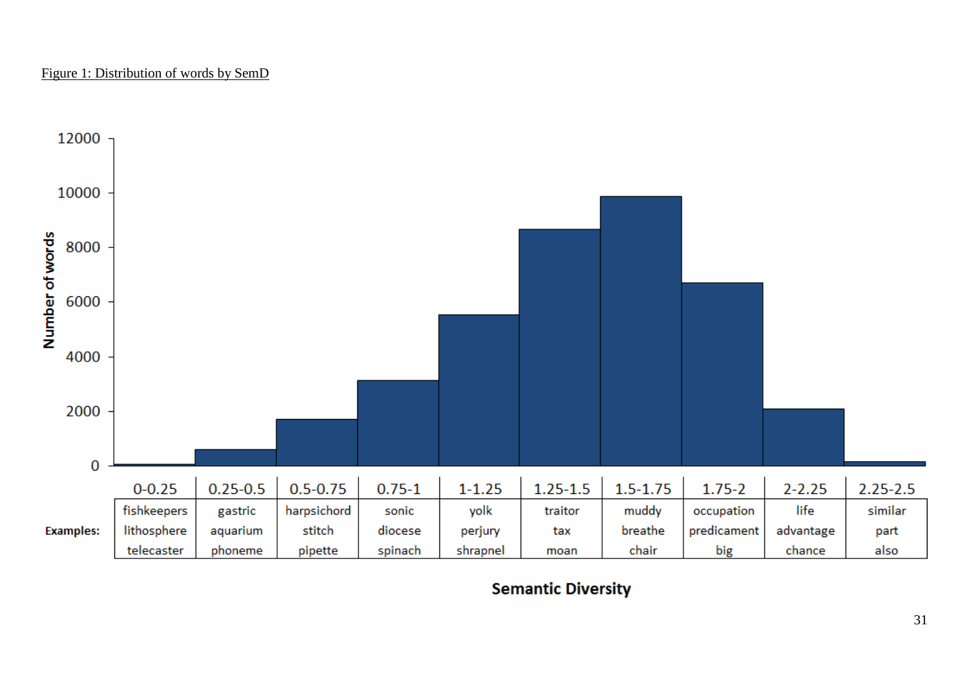### Figure 1: Distribution of words by SemD



**Semantic Diversity**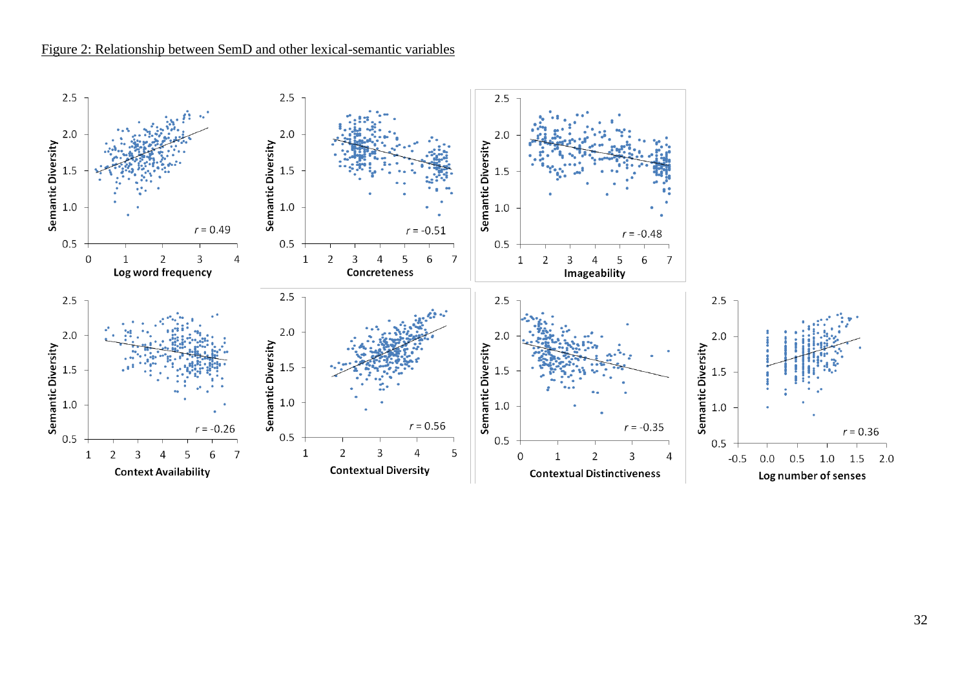### Figure 2: Relationship between SemD and other lexical-semantic variables

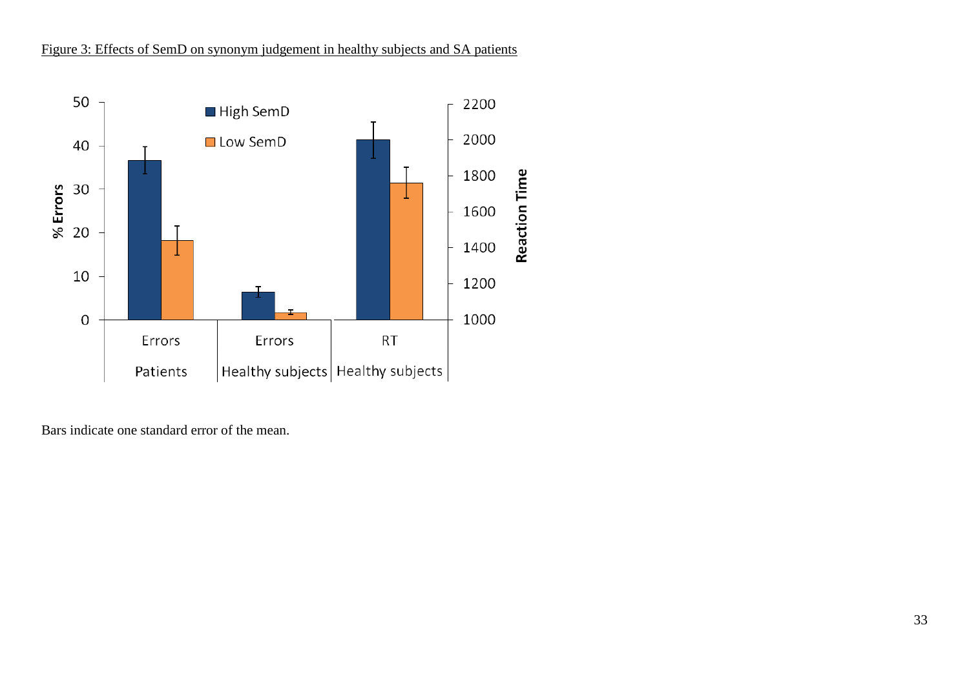## Figure 3: Effects of SemD on synonym judgement in healthy subjects and SA patients



Bars indicate one standard error of the mean.